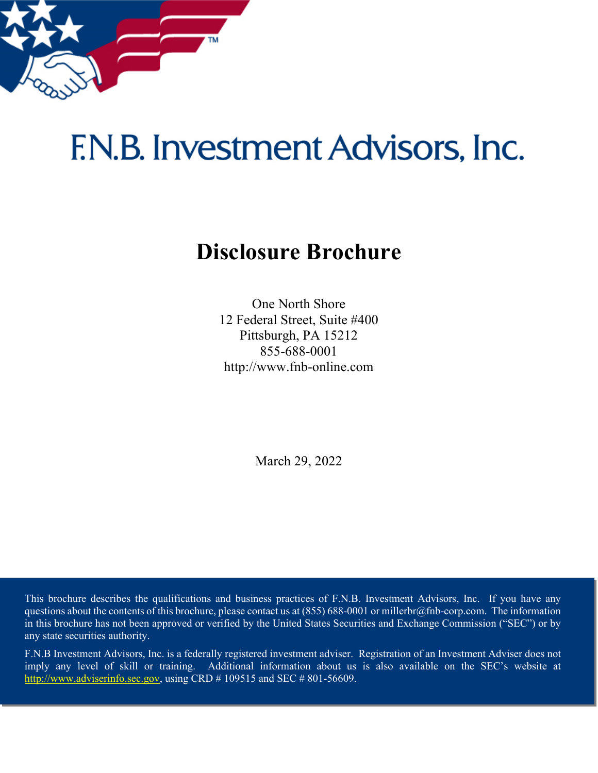

# <span id="page-0-0"></span>F.N.B. Investment Advisors, Inc.

# **Disclosure Brochure**

One North Shore 12 Federal Street, Suite #400 Pittsburgh, PA 15212 855-688-0001 http://www.fnb-online.com

March 29, 2022

This brochure describes the qualifications and business practices of F.N.B. Investment Advisors, Inc. If you have any questions about the contents of this brochure, please contact us at  $(855) 688-0001$  or millerbr@fnb-corp.com. The information in this brochure has not been approved or verified by the United States Securities and Exchange Commission ("SEC") or by any state securities authority.

F.N.B Investment Advisors, Inc. is a federally registered investment adviser. Registration of an Investment Adviser does not imply any level of skill or training. Additional information about us is also available on the SEC's website at [http://www.adviserinfo.sec.gov,](http://www.adviserinfo.sec.gov/) using CRD # 109515 and SEC # 801-56609.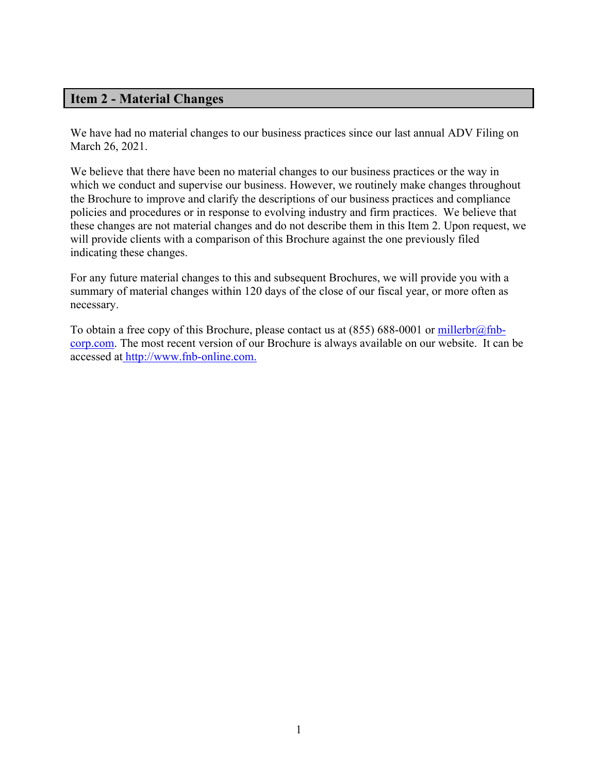# <span id="page-1-0"></span>**Item 2 - Material Changes**

We have had no material changes to our business practices since our last annual ADV Filing on March 26, 2021.

We believe that there have been no material changes to our business practices or the way in which we conduct and supervise our business. However, we routinely make changes throughout the Brochure to improve and clarify the descriptions of our business practices and compliance policies and procedures or in response to evolving industry and firm practices. We believe that these changes are not material changes and do not describe them in this Item 2. Upon request, we will provide clients with a comparison of this Brochure against the one previously filed indicating these changes.

For any future material changes to this and subsequent Brochures, we will provide you with a summary of material changes within 120 days of the close of our fiscal year, or more often as necessary.

To obtain a free copy of this Brochure, please contact us at  $(855)$  688-0001 or millerbr $@fnb$ [corp.com.](mailto:hieberj@fnb-corp.com) The most recent version of our Brochure is always available on our website. It can be accessed at [http://www.fnb-online.com.](http://www.fnb-online.com/)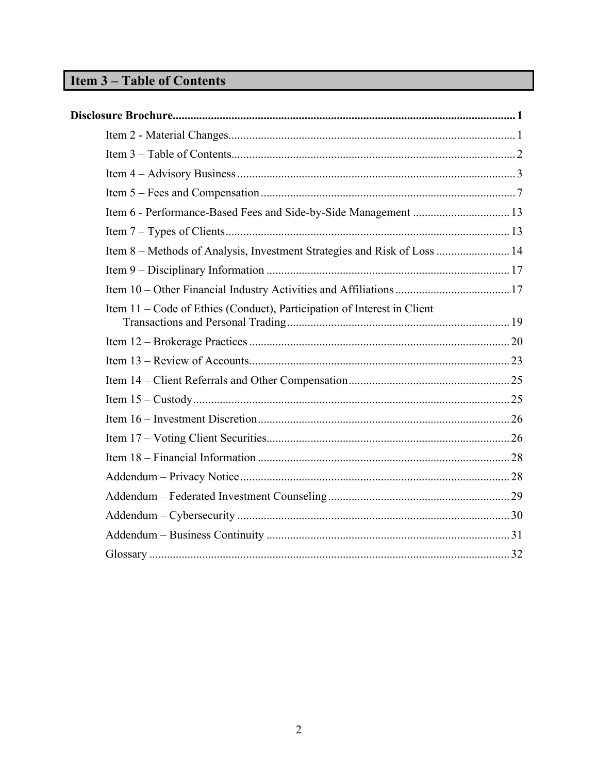# <span id="page-2-0"></span>**Item 3-Table of Contents**

| Item 8 – Methods of Analysis, Investment Strategies and Risk of Loss  14 |
|--------------------------------------------------------------------------|
|                                                                          |
|                                                                          |
| Item 11 – Code of Ethics (Conduct), Participation of Interest in Client  |
|                                                                          |
|                                                                          |
|                                                                          |
|                                                                          |
|                                                                          |
|                                                                          |
|                                                                          |
|                                                                          |
|                                                                          |
|                                                                          |
|                                                                          |
|                                                                          |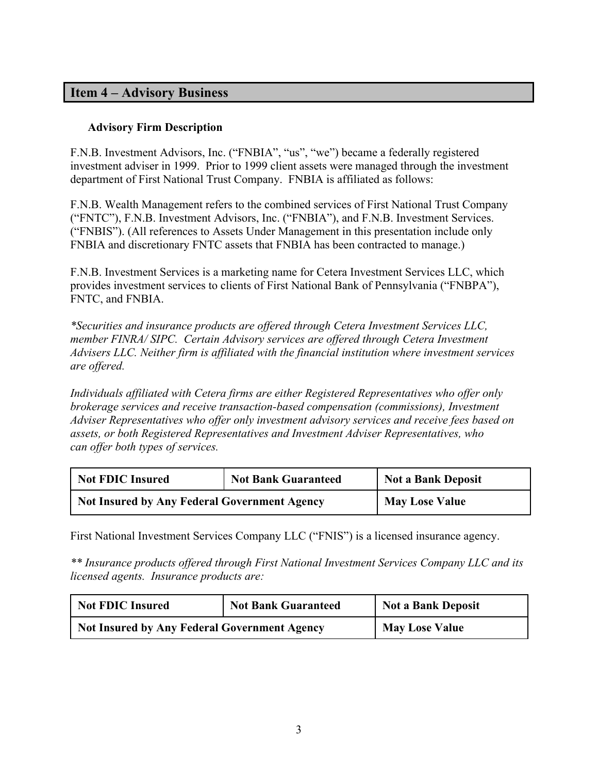# <span id="page-3-0"></span>**Item 4 – Advisory Business**

#### **Advisory Firm Description**

F.N.B. Investment Advisors, Inc. ("FNBIA", "us", "we") became a federally registered investment adviser in 1999. Prior to 1999 client assets were managed through the investment department of First National Trust Company. FNBIA is affiliated as follows:

F.N.B. Wealth Management refers to the combined services of First National Trust Company ("FNTC"), F.N.B. Investment Advisors, Inc. ("FNBIA"), and F.N.B. Investment Services. ("FNBIS"). (All references to Assets Under Management in this presentation include only FNBIA and discretionary FNTC assets that FNBIA has been contracted to manage.)

F.N.B. Investment Services is a marketing name for Cetera Investment Services LLC, which provides investment services to clients of First National Bank of Pennsylvania ("FNBPA"), FNTC, and FNBIA.

*\*Securities and insurance products are offered through Cetera Investment Services LLC, member FINRA/ SIPC. Certain Advisory services are offered through Cetera Investment Advisers LLC. Neither firm is affiliated with the financial institution where investment services are offered.*

*Individuals affiliated with Cetera firms are either Registered Representatives who offer only brokerage services and receive transaction-based compensation (commissions), Investment Adviser Representatives who offer only investment advisory services and receive fees based on assets, or both Registered Representatives and Investment Adviser Representatives, who can offer both types of services.*

| <b>Not FDIC Insured</b>                             | <b>Not Bank Guaranteed</b> | <b>Not a Bank Deposit</b> |
|-----------------------------------------------------|----------------------------|---------------------------|
| <b>Not Insured by Any Federal Government Agency</b> |                            | <b>May Lose Value</b>     |

First National Investment Services Company LLC ("FNIS") is a licensed insurance agency.

*\*\* Insurance products offered through First National Investment Services Company LLC and its licensed agents. Insurance products are:*

| <b>Not FDIC Insured</b>                             | <b>Not Bank Guaranteed</b> | <b>Not a Bank Deposit</b> |
|-----------------------------------------------------|----------------------------|---------------------------|
| <b>Not Insured by Any Federal Government Agency</b> |                            | <b>May Lose Value</b>     |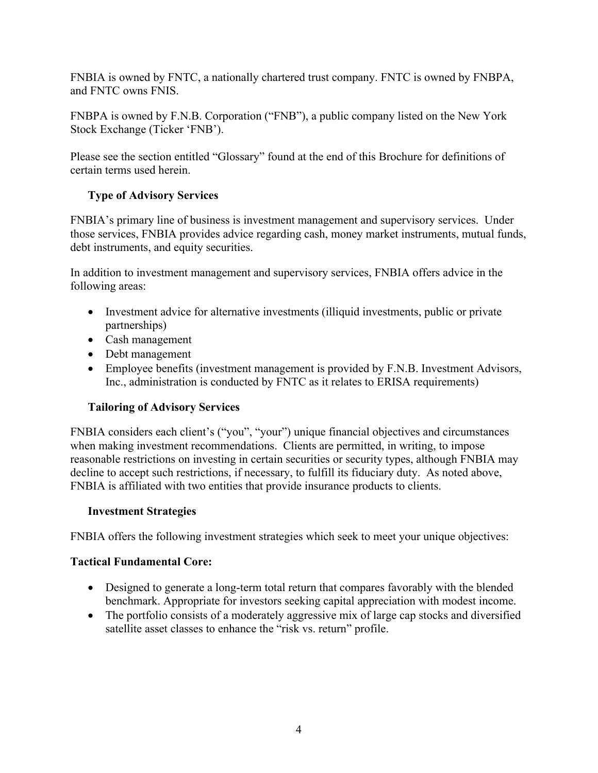FNBIA is owned by FNTC, a nationally chartered trust company. FNTC is owned by FNBPA, and FNTC owns FNIS.

FNBPA is owned by F.N.B. Corporation ("FNB"), a public company listed on the New York Stock Exchange (Ticker 'FNB').

Please see the section entitled "Glossary" found at the end of this Brochure for definitions of certain terms used herein.

# **Type of Advisory Services**

FNBIA's primary line of business is investment management and supervisory services. Under those services, FNBIA provides advice regarding cash, money market instruments, mutual funds, debt instruments, and equity securities.

In addition to investment management and supervisory services, FNBIA offers advice in the following areas:

- Investment advice for alternative investments (illiquid investments, public or private partnerships)
- Cash management
- Debt management
- Employee benefits (investment management is provided by F.N.B. Investment Advisors, Inc., administration is conducted by FNTC as it relates to ERISA requirements)

# **Tailoring of Advisory Services**

FNBIA considers each client's ("you", "your") unique financial objectives and circumstances when making investment recommendations. Clients are permitted, in writing, to impose reasonable restrictions on investing in certain securities or security types, although FNBIA may decline to accept such restrictions, if necessary, to fulfill its fiduciary duty. As noted above, FNBIA is affiliated with two entities that provide insurance products to clients.

# **Investment Strategies**

FNBIA offers the following investment strategies which seek to meet your unique objectives:

# **Tactical Fundamental Core:**

- Designed to generate a long-term total return that compares favorably with the blended benchmark. Appropriate for investors seeking capital appreciation with modest income.
- The portfolio consists of a moderately aggressive mix of large cap stocks and diversified satellite asset classes to enhance the "risk vs. return" profile.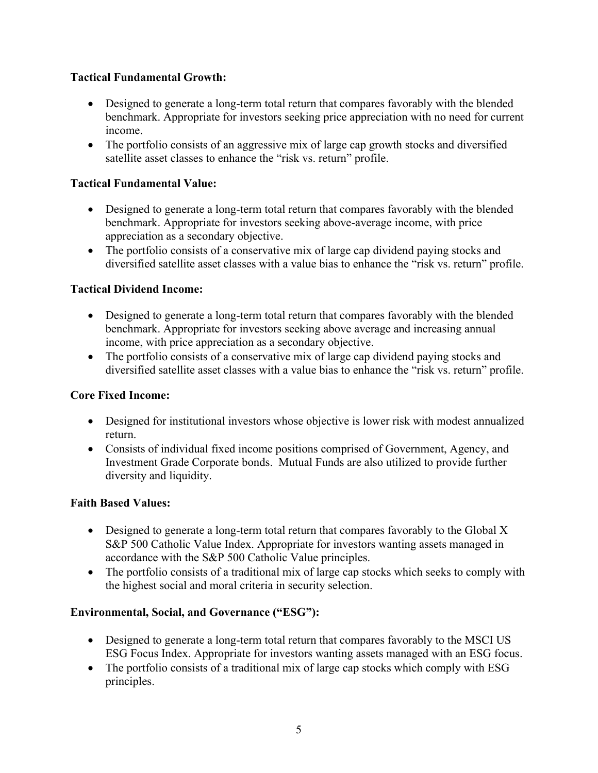# **Tactical Fundamental Growth:**

- Designed to generate a long-term total return that compares favorably with the blended benchmark. Appropriate for investors seeking price appreciation with no need for current income.
- The portfolio consists of an aggressive mix of large cap growth stocks and diversified satellite asset classes to enhance the "risk vs. return" profile.

#### **Tactical Fundamental Value:**

- Designed to generate a long-term total return that compares favorably with the blended benchmark. Appropriate for investors seeking above-average income, with price appreciation as a secondary objective.
- The portfolio consists of a conservative mix of large cap dividend paying stocks and diversified satellite asset classes with a value bias to enhance the "risk vs. return" profile.

#### **Tactical Dividend Income:**

- Designed to generate a long-term total return that compares favorably with the blended benchmark. Appropriate for investors seeking above average and increasing annual income, with price appreciation as a secondary objective.
- The portfolio consists of a conservative mix of large cap dividend paying stocks and diversified satellite asset classes with a value bias to enhance the "risk vs. return" profile.

#### **Core Fixed Income:**

- Designed for institutional investors whose objective is lower risk with modest annualized return.
- Consists of individual fixed income positions comprised of Government, Agency, and Investment Grade Corporate bonds. Mutual Funds are also utilized to provide further diversity and liquidity.

#### **Faith Based Values:**

- Designed to generate a long-term total return that compares favorably to the Global X S&P 500 Catholic Value Index. Appropriate for investors wanting assets managed in accordance with the S&P 500 Catholic Value principles.
- The portfolio consists of a traditional mix of large cap stocks which seeks to comply with the highest social and moral criteria in security selection.

#### **Environmental, Social, and Governance ("ESG"):**

- Designed to generate a long-term total return that compares favorably to the MSCI US ESG Focus Index. Appropriate for investors wanting assets managed with an ESG focus.
- The portfolio consists of a traditional mix of large cap stocks which comply with ESG principles.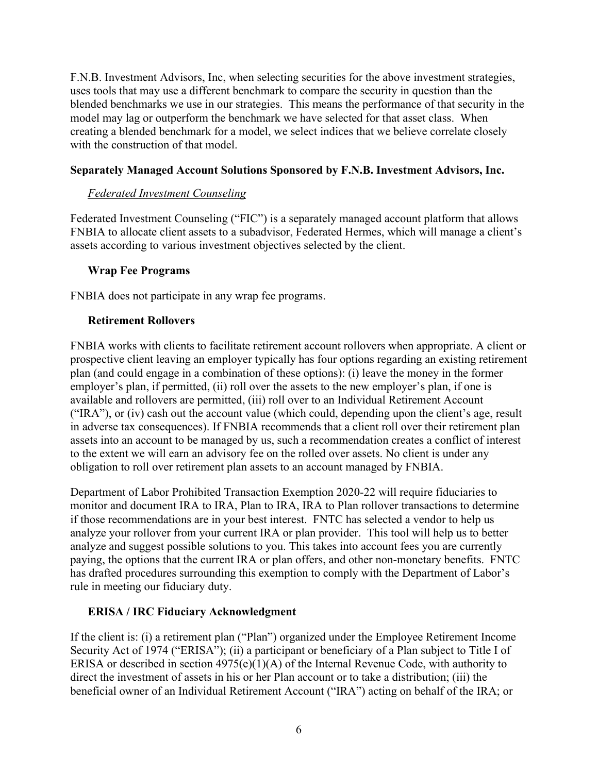F.N.B. Investment Advisors, Inc, when selecting securities for the above investment strategies, uses tools that may use a different benchmark to compare the security in question than the blended benchmarks we use in our strategies. This means the performance of that security in the model may lag or outperform the benchmark we have selected for that asset class. When creating a blended benchmark for a model, we select indices that we believe correlate closely with the construction of that model.

#### **Separately Managed Account Solutions Sponsored by F.N.B. Investment Advisors, Inc.**

#### *Federated Investment Counseling*

Federated Investment Counseling ("FIC") is a separately managed account platform that allows FNBIA to allocate client assets to a subadvisor, Federated Hermes, which will manage a client's assets according to various investment objectives selected by the client.

#### **Wrap Fee Programs**

FNBIA does not participate in any wrap fee programs.

#### **Retirement Rollovers**

FNBIA works with clients to facilitate retirement account rollovers when appropriate. A client or prospective client leaving an employer typically has four options regarding an existing retirement plan (and could engage in a combination of these options): (i) leave the money in the former employer's plan, if permitted, (ii) roll over the assets to the new employer's plan, if one is available and rollovers are permitted, (iii) roll over to an Individual Retirement Account ("IRA"), or (iv) cash out the account value (which could, depending upon the client's age, result in adverse tax consequences). If FNBIA recommends that a client roll over their retirement plan assets into an account to be managed by us, such a recommendation creates a conflict of interest to the extent we will earn an advisory fee on the rolled over assets. No client is under any obligation to roll over retirement plan assets to an account managed by FNBIA.

Department of Labor Prohibited Transaction Exemption 2020-22 will require fiduciaries to monitor and document IRA to IRA, Plan to IRA, IRA to Plan rollover transactions to determine if those recommendations are in your best interest. FNTC has selected a vendor to help us analyze your rollover from your current IRA or plan provider. This tool will help us to better analyze and suggest possible solutions to you. This takes into account fees you are currently paying, the options that the current IRA or plan offers, and other non-monetary benefits. FNTC has drafted procedures surrounding this exemption to comply with the Department of Labor's rule in meeting our fiduciary duty.

# **ERISA / IRC Fiduciary Acknowledgment**

If the client is: (i) a retirement plan ("Plan") organized under the Employee Retirement Income Security Act of 1974 ("ERISA"); (ii) a participant or beneficiary of a Plan subject to Title I of ERISA or described in section  $4975(e)(1)(A)$  of the Internal Revenue Code, with authority to direct the investment of assets in his or her Plan account or to take a distribution; (iii) the beneficial owner of an Individual Retirement Account ("IRA") acting on behalf of the IRA; or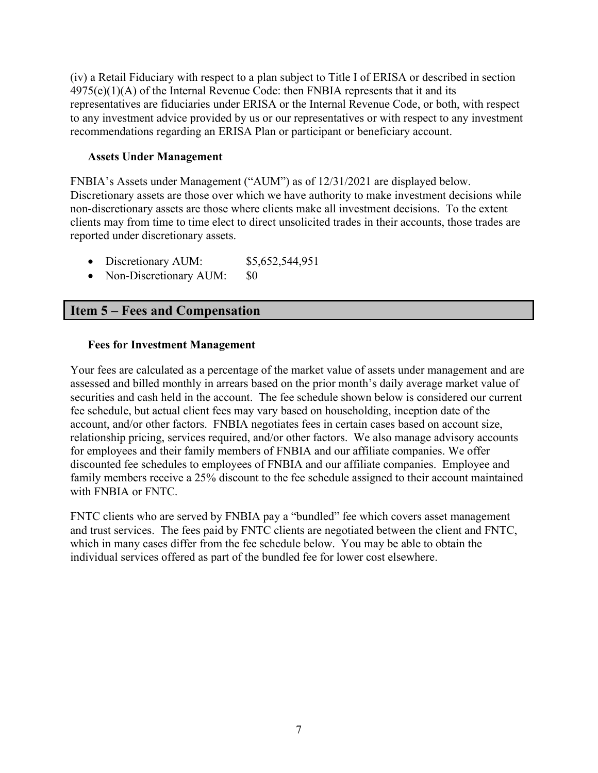(iv) a Retail Fiduciary with respect to a plan subject to Title I of ERISA or described in section  $4975(e)(1)(A)$  of the Internal Revenue Code: then FNBIA represents that it and its representatives are fiduciaries under ERISA or the Internal Revenue Code, or both, with respect to any investment advice provided by us or our representatives or with respect to any investment recommendations regarding an ERISA Plan or participant or beneficiary account.

#### **Assets Under Management**

FNBIA's Assets under Management ("AUM") as of 12/31/2021 are displayed below. Discretionary assets are those over which we have authority to make investment decisions while non-discretionary assets are those where clients make all investment decisions. To the extent clients may from time to time elect to direct unsolicited trades in their accounts, those trades are reported under discretionary assets.

- Discretionary AUM: \$5,652,544,951
- Non-Discretionary AUM: \$0

# <span id="page-7-0"></span>**Item 5 – Fees and Compensation**

#### **Fees for Investment Management**

Your fees are calculated as a percentage of the market value of assets under management and are assessed and billed monthly in arrears based on the prior month's daily average market value of securities and cash held in the account. The fee schedule shown below is considered our current fee schedule, but actual client fees may vary based on householding, inception date of the account, and/or other factors. FNBIA negotiates fees in certain cases based on account size, relationship pricing, services required, and/or other factors. We also manage advisory accounts for employees and their family members of FNBIA and our affiliate companies. We offer discounted fee schedules to employees of FNBIA and our affiliate companies. Employee and family members receive a 25% discount to the fee schedule assigned to their account maintained with FNBIA or FNTC.

FNTC clients who are served by FNBIA pay a "bundled" fee which covers asset management and trust services. The fees paid by FNTC clients are negotiated between the client and FNTC, which in many cases differ from the fee schedule below. You may be able to obtain the individual services offered as part of the bundled fee for lower cost elsewhere.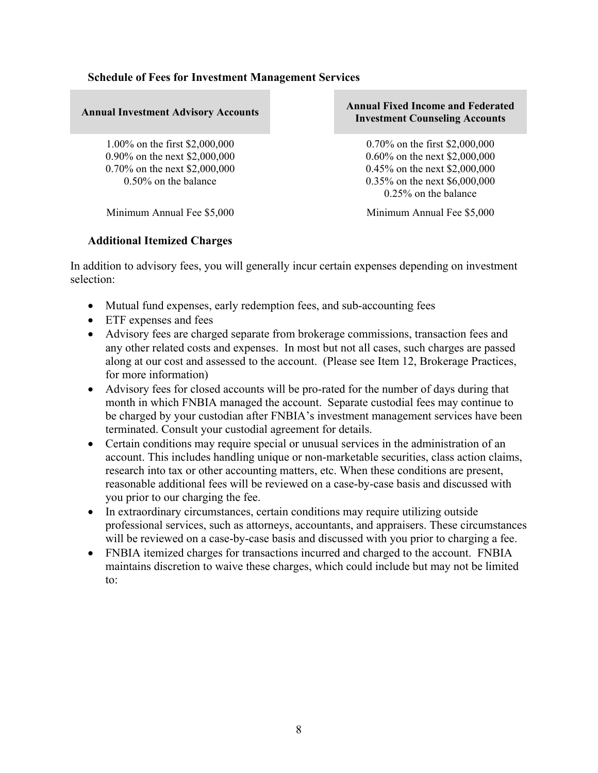| <b>Annual Investment Advisory Accounts</b> | <b>Annual Fixed Income and Federated</b><br><b>Investment Counseling Accounts</b> |
|--------------------------------------------|-----------------------------------------------------------------------------------|
| 1.00% on the first \$2,000,000             | 0.70% on the first $$2,000,000$                                                   |
| 0.90% on the next \$2,000,000              | 0.60% on the next \$2,000,000                                                     |
| 0.70% on the next $$2,000,000$             | 0.45% on the next \$2,000,000                                                     |
| 0.50% on the balance                       | $0.35\%$ on the next \$6,000,000                                                  |
|                                            | $0.25\%$ on the balance                                                           |
| Minimum Annual Fee \$5,000                 | Minimum Annual Fee \$5,000                                                        |

#### **Additional Itemized Charges**

In addition to advisory fees, you will generally incur certain expenses depending on investment selection:

- Mutual fund expenses, early redemption fees, and sub-accounting fees
- ETF expenses and fees
- Advisory fees are charged separate from brokerage commissions, transaction fees and any other related costs and expenses. In most but not all cases, such charges are passed along at our cost and assessed to the account. (Please see Item 12, Brokerage Practices, for more information)
- Advisory fees for closed accounts will be pro-rated for the number of days during that month in which FNBIA managed the account. Separate custodial fees may continue to be charged by your custodian after FNBIA's investment management services have been terminated. Consult your custodial agreement for details.
- Certain conditions may require special or unusual services in the administration of an account. This includes handling unique or non-marketable securities, class action claims, research into tax or other accounting matters, etc. When these conditions are present, reasonable additional fees will be reviewed on a case-by-case basis and discussed with you prior to our charging the fee.
- In extraordinary circumstances, certain conditions may require utilizing outside professional services, such as attorneys, accountants, and appraisers. These circumstances will be reviewed on a case-by-case basis and discussed with you prior to charging a fee.
- FNBIA itemized charges for transactions incurred and charged to the account. FNBIA maintains discretion to waive these charges, which could include but may not be limited to: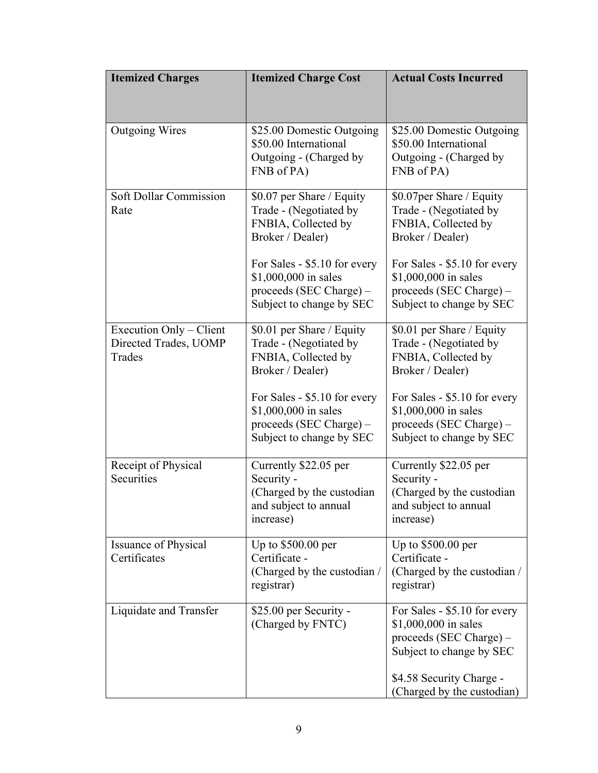| <b>Itemized Charges</b>                                    | <b>Itemized Charge Cost</b>                                                                                     | <b>Actual Costs Incurred</b>                                                                                  |
|------------------------------------------------------------|-----------------------------------------------------------------------------------------------------------------|---------------------------------------------------------------------------------------------------------------|
|                                                            |                                                                                                                 |                                                                                                               |
| <b>Outgoing Wires</b>                                      | \$25.00 Domestic Outgoing<br>\$50.00 International<br>Outgoing - (Charged by<br>FNB of PA)                      | \$25.00 Domestic Outgoing<br>\$50.00 International<br>Outgoing - (Charged by<br>FNB of PA)                    |
| Soft Dollar Commission<br>Rate                             | \$0.07 per Share / Equity<br>Trade - (Negotiated by<br>FNBIA, Collected by<br>Broker / Dealer)                  | \$0.07per Share / Equity<br>Trade - (Negotiated by<br>FNBIA, Collected by<br>Broker / Dealer)                 |
|                                                            | For Sales - \$5.10 for every<br>\$1,000,000 in sales<br>proceeds (SEC Charge) –<br>Subject to change by SEC     | For Sales - \$5.10 for every<br>\$1,000,000 in sales<br>proceeds (SEC Charge) $-$<br>Subject to change by SEC |
| Execution Only – Client<br>Directed Trades, UOMP<br>Trades | \$0.01 per Share / Equity<br>Trade - (Negotiated by<br>FNBIA, Collected by<br>Broker / Dealer)                  | \$0.01 per Share / Equity<br>Trade - (Negotiated by<br>FNBIA, Collected by<br>Broker / Dealer)                |
|                                                            | For Sales - \$5.10 for every<br>\$1,000,000 in sales<br>$proceeds$ (SEC Charge) $-$<br>Subject to change by SEC | For Sales - \$5.10 for every<br>\$1,000,000 in sales<br>proceeds (SEC Charge) –<br>Subject to change by SEC   |
| Receipt of Physical<br>Securities                          | Currently \$22.05 per<br>Security -<br>(Charged by the custodian<br>and subject to annual<br>increase)          | Currently \$22.05 per<br>Security -<br>(Charged by the custodian<br>and subject to annual<br>increase)        |
| Issuance of Physical<br>Certificates                       | Up to $$500.00$ per<br>Certificate -<br>(Charged by the custodian /<br>registrar)                               | Up to \$500.00 per<br>Certificate -<br>(Charged by the custodian /<br>registrar)                              |
| Liquidate and Transfer                                     | \$25.00 per Security -<br>(Charged by FNTC)                                                                     | For Sales - \$5.10 for every<br>\$1,000,000 in sales<br>proceeds (SEC Charge) –<br>Subject to change by SEC   |
|                                                            |                                                                                                                 | \$4.58 Security Charge -<br>(Charged by the custodian)                                                        |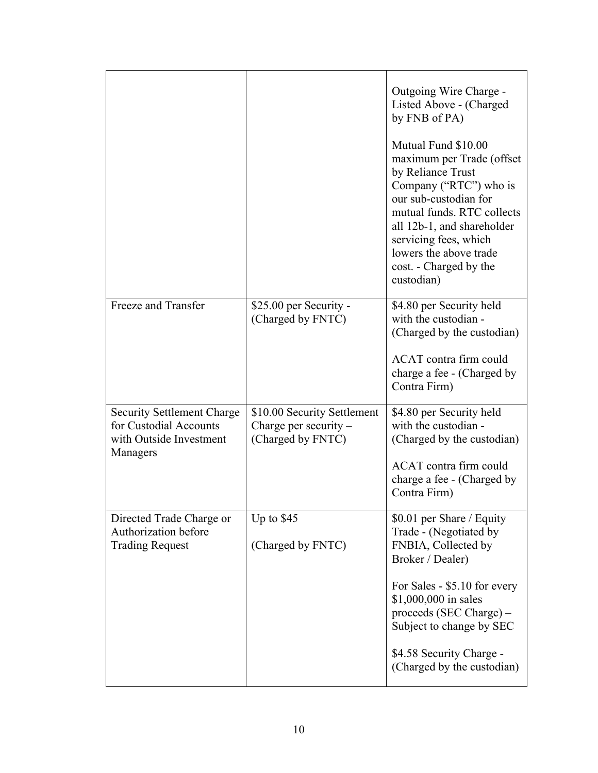|                                                                                                    |                                                                             | Outgoing Wire Charge -<br>Listed Above - (Charged<br>by FNB of PA)<br>Mutual Fund \$10.00<br>maximum per Trade (offset<br>by Reliance Trust<br>Company ("RTC") who is<br>our sub-custodian for<br>mutual funds. RTC collects<br>all 12b-1, and shareholder<br>servicing fees, which<br>lowers the above trade<br>cost. - Charged by the<br>custodian) |
|----------------------------------------------------------------------------------------------------|-----------------------------------------------------------------------------|-------------------------------------------------------------------------------------------------------------------------------------------------------------------------------------------------------------------------------------------------------------------------------------------------------------------------------------------------------|
| Freeze and Transfer                                                                                | \$25.00 per Security -<br>(Charged by FNTC)                                 | \$4.80 per Security held<br>with the custodian -<br>(Charged by the custodian)<br>ACAT contra firm could<br>charge a fee - (Charged by<br>Contra Firm)                                                                                                                                                                                                |
| <b>Security Settlement Charge</b><br>for Custodial Accounts<br>with Outside Investment<br>Managers | \$10.00 Security Settlement<br>Charge per security $-$<br>(Charged by FNTC) | \$4.80 per Security held<br>with the custodian -<br>(Charged by the custodian)<br>ACAT contra firm could<br>charge a fee - (Charged by<br>Contra Firm)                                                                                                                                                                                                |
| Directed Trade Charge or<br>Authorization before<br><b>Trading Request</b>                         | Up to $$45$<br>(Charged by FNTC)                                            | \$0.01 per Share / Equity<br>Trade - (Negotiated by<br>FNBIA, Collected by<br>Broker / Dealer)<br>For Sales - \$5.10 for every<br>\$1,000,000 in sales<br>proceeds (SEC Charge) –<br>Subject to change by SEC<br>\$4.58 Security Charge -<br>(Charged by the custodian)                                                                               |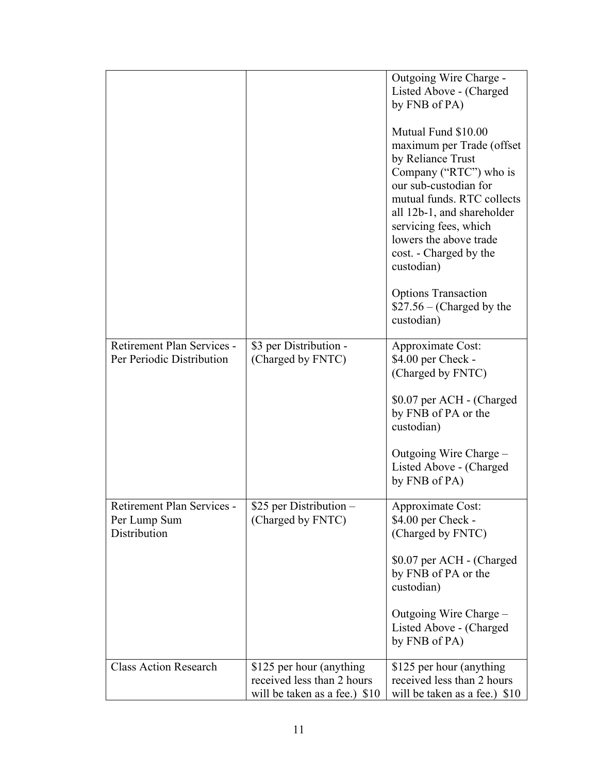|                                                            |                                                                                          | Outgoing Wire Charge -<br>Listed Above - (Charged<br>by FNB of PA)<br>Mutual Fund \$10.00<br>maximum per Trade (offset<br>by Reliance Trust<br>Company ("RTC") who is<br>our sub-custodian for<br>mutual funds. RTC collects<br>all 12b-1, and shareholder<br>servicing fees, which<br>lowers the above trade<br>cost. - Charged by the<br>custodian)<br><b>Options Transaction</b> |
|------------------------------------------------------------|------------------------------------------------------------------------------------------|-------------------------------------------------------------------------------------------------------------------------------------------------------------------------------------------------------------------------------------------------------------------------------------------------------------------------------------------------------------------------------------|
|                                                            |                                                                                          | $$27.56 - (Charged by the$<br>custodian)                                                                                                                                                                                                                                                                                                                                            |
| Retirement Plan Services -<br>Per Periodic Distribution    | \$3 per Distribution -<br>(Charged by FNTC)                                              | Approximate Cost:<br>\$4.00 per Check -<br>(Charged by FNTC)                                                                                                                                                                                                                                                                                                                        |
|                                                            |                                                                                          | \$0.07 per ACH - (Charged<br>by FNB of PA or the<br>custodian)                                                                                                                                                                                                                                                                                                                      |
|                                                            |                                                                                          | Outgoing Wire Charge -<br>Listed Above - (Charged<br>by FNB of PA)                                                                                                                                                                                                                                                                                                                  |
| Retirement Plan Services -<br>Per Lump Sum<br>Distribution | \$25 per Distribution<br>(Charged by FNTC)                                               | Approximate Cost:<br>\$4.00 per Check -<br>(Charged by FNTC)                                                                                                                                                                                                                                                                                                                        |
|                                                            |                                                                                          | \$0.07 per ACH - (Charged<br>by FNB of PA or the<br>custodian)                                                                                                                                                                                                                                                                                                                      |
|                                                            |                                                                                          | Outgoing Wire Charge -<br>Listed Above - (Charged<br>by FNB of PA)                                                                                                                                                                                                                                                                                                                  |
| <b>Class Action Research</b>                               | \$125 per hour (anything)<br>received less than 2 hours<br>will be taken as a fee.) \$10 | \$125 per hour (anything)<br>received less than 2 hours<br>will be taken as a fee.) \$10                                                                                                                                                                                                                                                                                            |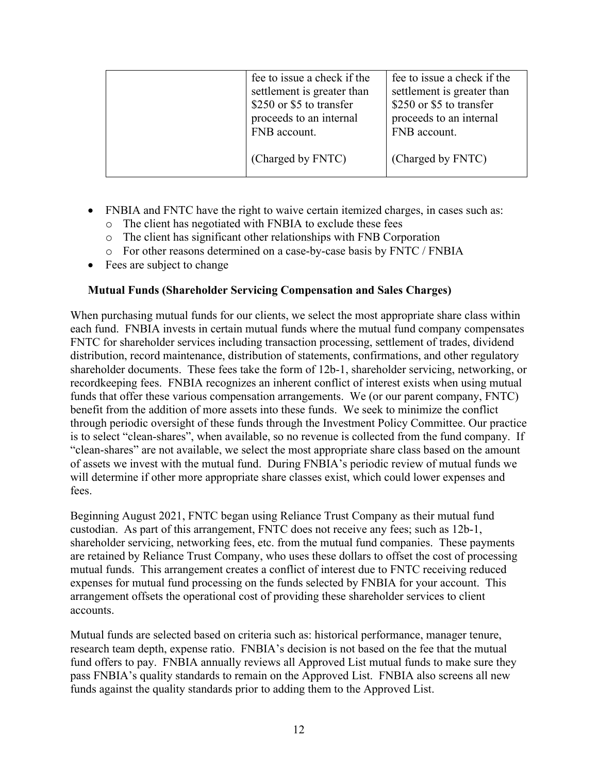| fee to issue a check if the<br>settlement is greater than<br>\$250 or \$5 to transfer<br>proceeds to an internal | fee to issue a check if the<br>settlement is greater than<br>\$250 or \$5 to transfer<br>proceeds to an internal |
|------------------------------------------------------------------------------------------------------------------|------------------------------------------------------------------------------------------------------------------|
| FNB account.<br>(Charged by FNTC)                                                                                | FNB account.<br>(Charged by FNTC)                                                                                |

- FNBIA and FNTC have the right to waive certain itemized charges, in cases such as:
	- o The client has negotiated with FNBIA to exclude these fees
	- o The client has significant other relationships with FNB Corporation
	- o For other reasons determined on a case-by-case basis by FNTC / FNBIA
- Fees are subject to change

#### **Mutual Funds (Shareholder Servicing Compensation and Sales Charges)**

When purchasing mutual funds for our clients, we select the most appropriate share class within each fund. FNBIA invests in certain mutual funds where the mutual fund company compensates FNTC for shareholder services including transaction processing, settlement of trades, dividend distribution, record maintenance, distribution of statements, confirmations, and other regulatory shareholder documents. These fees take the form of 12b-1, shareholder servicing, networking, or recordkeeping fees. FNBIA recognizes an inherent conflict of interest exists when using mutual funds that offer these various compensation arrangements. We (or our parent company, FNTC) benefit from the addition of more assets into these funds. We seek to minimize the conflict through periodic oversight of these funds through the Investment Policy Committee. Our practice is to select "clean-shares", when available, so no revenue is collected from the fund company. If "clean-shares" are not available, we select the most appropriate share class based on the amount of assets we invest with the mutual fund. During FNBIA's periodic review of mutual funds we will determine if other more appropriate share classes exist, which could lower expenses and fees.

Beginning August 2021, FNTC began using Reliance Trust Company as their mutual fund custodian. As part of this arrangement, FNTC does not receive any fees; such as 12b-1, shareholder servicing, networking fees, etc. from the mutual fund companies. These payments are retained by Reliance Trust Company, who uses these dollars to offset the cost of processing mutual funds. This arrangement creates a conflict of interest due to FNTC receiving reduced expenses for mutual fund processing on the funds selected by FNBIA for your account. This arrangement offsets the operational cost of providing these shareholder services to client accounts.

Mutual funds are selected based on criteria such as: historical performance, manager tenure, research team depth, expense ratio. FNBIA's decision is not based on the fee that the mutual fund offers to pay. FNBIA annually reviews all Approved List mutual funds to make sure they pass FNBIA's quality standards to remain on the Approved List. FNBIA also screens all new funds against the quality standards prior to adding them to the Approved List.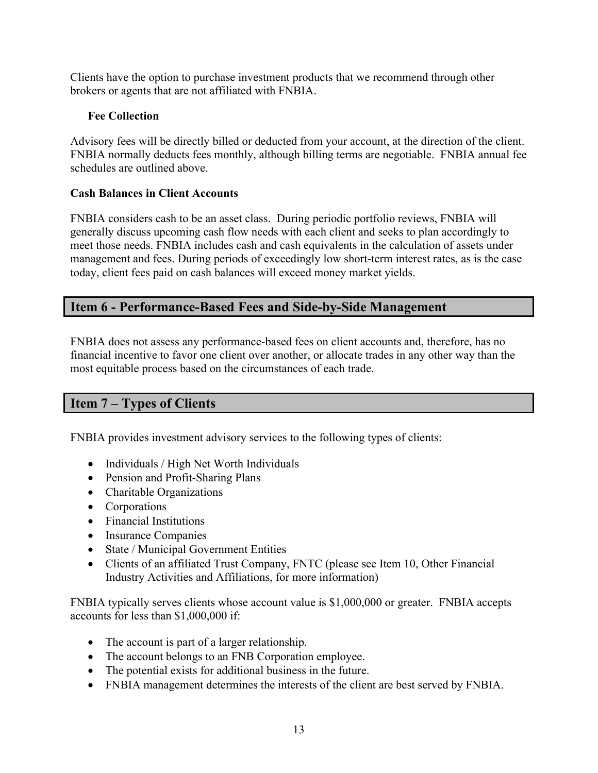Clients have the option to purchase investment products that we recommend through other brokers or agents that are not affiliated with FNBIA.

## **Fee Collection**

Advisory fees will be directly billed or deducted from your account, at the direction of the client. FNBIA normally deducts fees monthly, although billing terms are negotiable. FNBIA annual fee schedules are outlined above.

#### **Cash Balances in Client Accounts**

FNBIA considers cash to be an asset class. During periodic portfolio reviews, FNBIA will generally discuss upcoming cash flow needs with each client and seeks to plan accordingly to meet those needs. FNBIA includes cash and cash equivalents in the calculation of assets under management and fees. During periods of exceedingly low short-term interest rates, as is the case today, client fees paid on cash balances will exceed money market yields.

# <span id="page-13-0"></span>**Item 6 - Performance-Based Fees and Side-by-Side Management**

FNBIA does not assess any performance-based fees on client accounts and, therefore, has no financial incentive to favor one client over another, or allocate trades in any other way than the most equitable process based on the circumstances of each trade.

# <span id="page-13-1"></span>**Item 7 – Types of Clients**

FNBIA provides investment advisory services to the following types of clients:

- Individuals / High Net Worth Individuals
- Pension and Profit-Sharing Plans
- Charitable Organizations
- Corporations
- Financial Institutions
- Insurance Companies
- State / Municipal Government Entities
- Clients of an affiliated Trust Company, FNTC (please see Item 10, Other Financial Industry Activities and Affiliations, for more information)

FNBIA typically serves clients whose account value is \$1,000,000 or greater. FNBIA accepts accounts for less than \$1,000,000 if:

- The account is part of a larger relationship.
- The account belongs to an FNB Corporation employee.
- The potential exists for additional business in the future.
- FNBIA management determines the interests of the client are best served by FNBIA.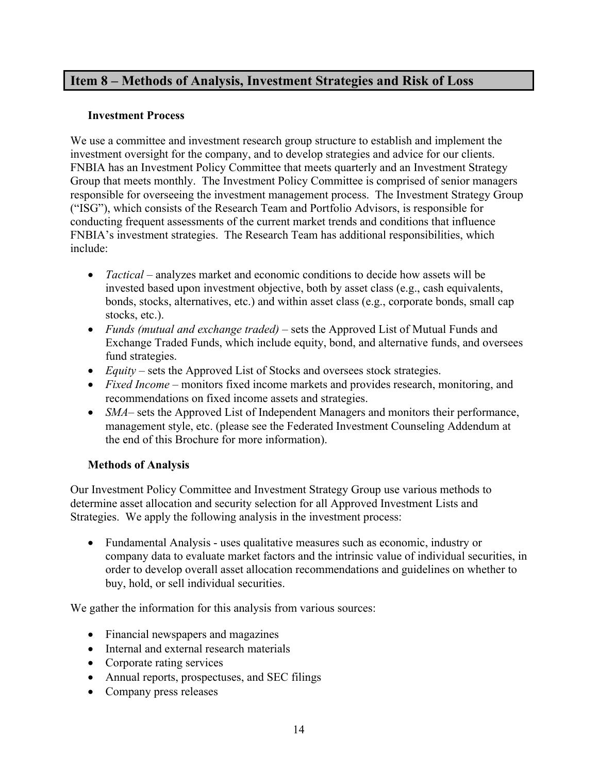# <span id="page-14-0"></span>**Item 8 – Methods of Analysis, Investment Strategies and Risk of Loss**

#### **Investment Process**

We use a committee and investment research group structure to establish and implement the investment oversight for the company, and to develop strategies and advice for our clients. FNBIA has an Investment Policy Committee that meets quarterly and an Investment Strategy Group that meets monthly. The Investment Policy Committee is comprised of senior managers responsible for overseeing the investment management process. The Investment Strategy Group ("ISG"), which consists of the Research Team and Portfolio Advisors, is responsible for conducting frequent assessments of the current market trends and conditions that influence FNBIA's investment strategies. The Research Team has additional responsibilities, which include:

- *Tactical* analyzes market and economic conditions to decide how assets will be invested based upon investment objective, both by asset class (e.g., cash equivalents, bonds, stocks, alternatives, etc.) and within asset class (e.g., corporate bonds, small cap stocks, etc.).
- *Funds (mutual and exchange traded)* sets the Approved List of Mutual Funds and Exchange Traded Funds, which include equity, bond, and alternative funds, and oversees fund strategies.
- *Equity* sets the Approved List of Stocks and oversees stock strategies.
- *Fixed Income* monitors fixed income markets and provides research, monitoring, and recommendations on fixed income assets and strategies.
- *SMA* sets the Approved List of Independent Managers and monitors their performance, management style, etc. (please see the Federated Investment Counseling Addendum at the end of this Brochure for more information).

#### **Methods of Analysis**

Our Investment Policy Committee and Investment Strategy Group use various methods to determine asset allocation and security selection for all Approved Investment Lists and Strategies. We apply the following analysis in the investment process:

• Fundamental Analysis - uses qualitative measures such as economic, industry or company data to evaluate market factors and the intrinsic value of individual securities, in order to develop overall asset allocation recommendations and guidelines on whether to buy, hold, or sell individual securities.

We gather the information for this analysis from various sources:

- Financial newspapers and magazines
- Internal and external research materials
- Corporate rating services
- Annual reports, prospectuses, and SEC filings
- Company press releases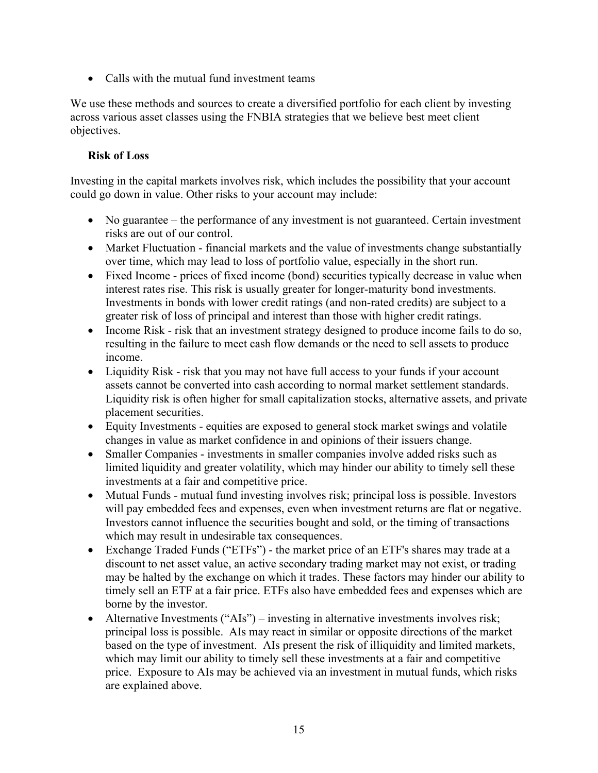• Calls with the mutual fund investment teams

We use these methods and sources to create a diversified portfolio for each client by investing across various asset classes using the FNBIA strategies that we believe best meet client objectives.

## **Risk of Loss**

Investing in the capital markets involves risk, which includes the possibility that your account could go down in value. Other risks to your account may include:

- No guarantee the performance of any investment is not guaranteed. Certain investment risks are out of our control.
- Market Fluctuation financial markets and the value of investments change substantially over time, which may lead to loss of portfolio value, especially in the short run.
- Fixed Income prices of fixed income (bond) securities typically decrease in value when interest rates rise. This risk is usually greater for longer-maturity bond investments. Investments in bonds with lower credit ratings (and non-rated credits) are subject to a greater risk of loss of principal and interest than those with higher credit ratings.
- Income Risk risk that an investment strategy designed to produce income fails to do so, resulting in the failure to meet cash flow demands or the need to sell assets to produce income.
- Liquidity Risk risk that you may not have full access to your funds if your account assets cannot be converted into cash according to normal market settlement standards. Liquidity risk is often higher for small capitalization stocks, alternative assets, and private placement securities.
- Equity Investments equities are exposed to general stock market swings and volatile changes in value as market confidence in and opinions of their issuers change.
- Smaller Companies investments in smaller companies involve added risks such as limited liquidity and greater volatility, which may hinder our ability to timely sell these investments at a fair and competitive price.
- Mutual Funds mutual fund investing involves risk; principal loss is possible. Investors will pay embedded fees and expenses, even when investment returns are flat or negative. Investors cannot influence the securities bought and sold, or the timing of transactions which may result in undesirable tax consequences.
- Exchange Traded Funds ("ETFs") the market price of an ETF's shares may trade at a discount to net asset value, an active secondary trading market may not exist, or trading may be halted by the exchange on which it trades. These factors may hinder our ability to timely sell an ETF at a fair price. ETFs also have embedded fees and expenses which are borne by the investor.
- Alternative Investments ("AIs") investing in alternative investments involves risk; principal loss is possible. AIs may react in similar or opposite directions of the market based on the type of investment. AIs present the risk of illiquidity and limited markets, which may limit our ability to timely sell these investments at a fair and competitive price. Exposure to AIs may be achieved via an investment in mutual funds, which risks are explained above.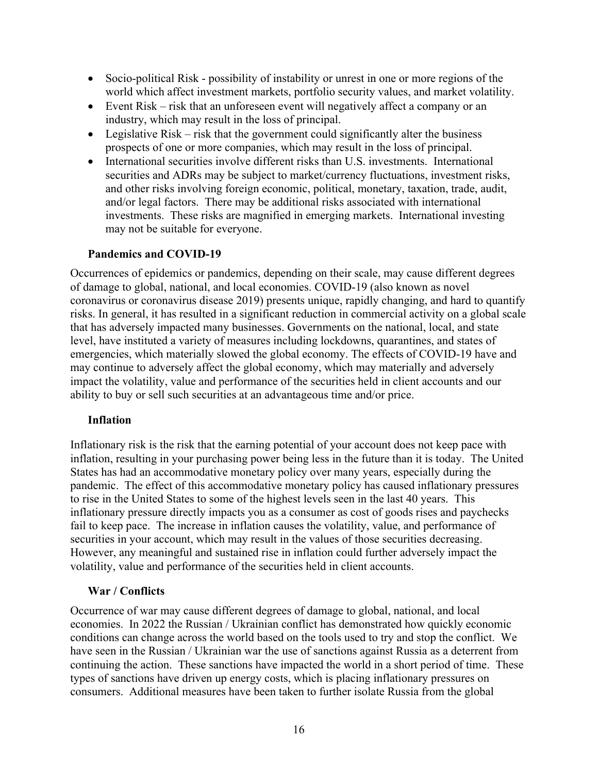- Socio-political Risk possibility of instability or unrest in one or more regions of the world which affect investment markets, portfolio security values, and market volatility.
- Event Risk risk that an unforeseen event will negatively affect a company or an industry, which may result in the loss of principal.
- Legislative Risk risk that the government could significantly alter the business prospects of one or more companies, which may result in the loss of principal.
- International securities involve different risks than U.S. investments. International securities and ADRs may be subject to market/currency fluctuations, investment risks, and other risks involving foreign economic, political, monetary, taxation, trade, audit, and/or legal factors. There may be additional risks associated with international investments. These risks are magnified in emerging markets. International investing may not be suitable for everyone.

#### **Pandemics and COVID-19**

Occurrences of epidemics or pandemics, depending on their scale, may cause different degrees of damage to global, national, and local economies. COVID-19 (also known as novel coronavirus or coronavirus disease 2019) presents unique, rapidly changing, and hard to quantify risks. In general, it has resulted in a significant reduction in commercial activity on a global scale that has adversely impacted many businesses. Governments on the national, local, and state level, have instituted a variety of measures including lockdowns, quarantines, and states of emergencies, which materially slowed the global economy. The effects of COVID-19 have and may continue to adversely affect the global economy, which may materially and adversely impact the volatility, value and performance of the securities held in client accounts and our ability to buy or sell such securities at an advantageous time and/or price.

#### **Inflation**

Inflationary risk is the risk that the earning potential of your account does not keep pace with inflation, resulting in your purchasing power being less in the future than it is today. The United States has had an accommodative monetary policy over many years, especially during the pandemic. The effect of this accommodative monetary policy has caused inflationary pressures to rise in the United States to some of the highest levels seen in the last 40 years. This inflationary pressure directly impacts you as a consumer as cost of goods rises and paychecks fail to keep pace. The increase in inflation causes the volatility, value, and performance of securities in your account, which may result in the values of those securities decreasing. However, any meaningful and sustained rise in inflation could further adversely impact the volatility, value and performance of the securities held in client accounts.

#### **War / Conflicts**

Occurrence of war may cause different degrees of damage to global, national, and local economies. In 2022 the Russian / Ukrainian conflict has demonstrated how quickly economic conditions can change across the world based on the tools used to try and stop the conflict. We have seen in the Russian / Ukrainian war the use of sanctions against Russia as a deterrent from continuing the action. These sanctions have impacted the world in a short period of time. These types of sanctions have driven up energy costs, which is placing inflationary pressures on consumers. Additional measures have been taken to further isolate Russia from the global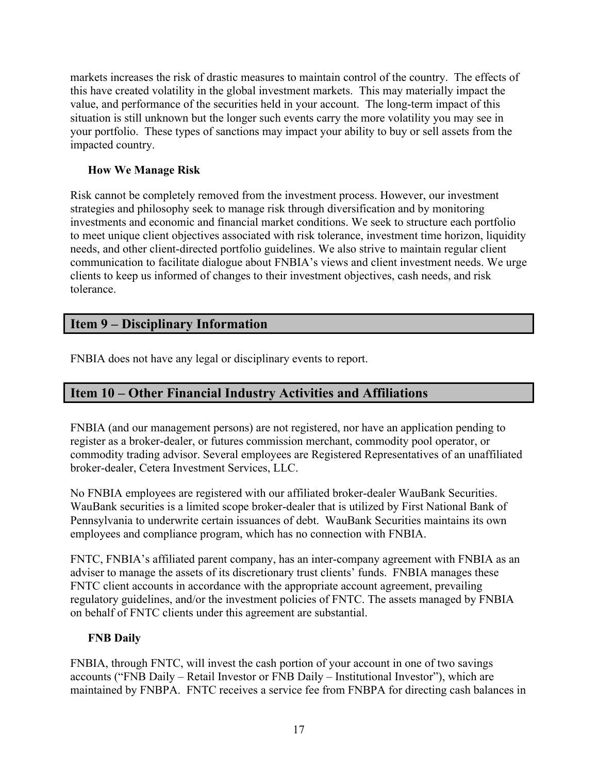markets increases the risk of drastic measures to maintain control of the country. The effects of this have created volatility in the global investment markets. This may materially impact the value, and performance of the securities held in your account. The long-term impact of this situation is still unknown but the longer such events carry the more volatility you may see in your portfolio. These types of sanctions may impact your ability to buy or sell assets from the impacted country.

#### **How We Manage Risk**

Risk cannot be completely removed from the investment process. However, our investment strategies and philosophy seek to manage risk through diversification and by monitoring investments and economic and financial market conditions. We seek to structure each portfolio to meet unique client objectives associated with risk tolerance, investment time horizon, liquidity needs, and other client-directed portfolio guidelines. We also strive to maintain regular client communication to facilitate dialogue about FNBIA's views and client investment needs. We urge clients to keep us informed of changes to their investment objectives, cash needs, and risk tolerance.

# <span id="page-17-0"></span>**Item 9 – Disciplinary Information**

FNBIA does not have any legal or disciplinary events to report.

# <span id="page-17-1"></span>**Item 10 – Other Financial Industry Activities and Affiliations**

FNBIA (and our management persons) are not registered, nor have an application pending to register as a broker-dealer, or futures commission merchant, commodity pool operator, or commodity trading advisor. Several employees are Registered Representatives of an unaffiliated broker-dealer, Cetera Investment Services, LLC.

No FNBIA employees are registered with our affiliated broker-dealer WauBank Securities. WauBank securities is a limited scope broker-dealer that is utilized by First National Bank of Pennsylvania to underwrite certain issuances of debt. WauBank Securities maintains its own employees and compliance program, which has no connection with FNBIA.

FNTC, FNBIA's affiliated parent company, has an inter-company agreement with FNBIA as an adviser to manage the assets of its discretionary trust clients' funds. FNBIA manages these FNTC client accounts in accordance with the appropriate account agreement, prevailing regulatory guidelines, and/or the investment policies of FNTC. The assets managed by FNBIA on behalf of FNTC clients under this agreement are substantial.

#### **FNB Daily**

FNBIA, through FNTC, will invest the cash portion of your account in one of two savings accounts ("FNB Daily – Retail Investor or FNB Daily – Institutional Investor"), which are maintained by FNBPA. FNTC receives a service fee from FNBPA for directing cash balances in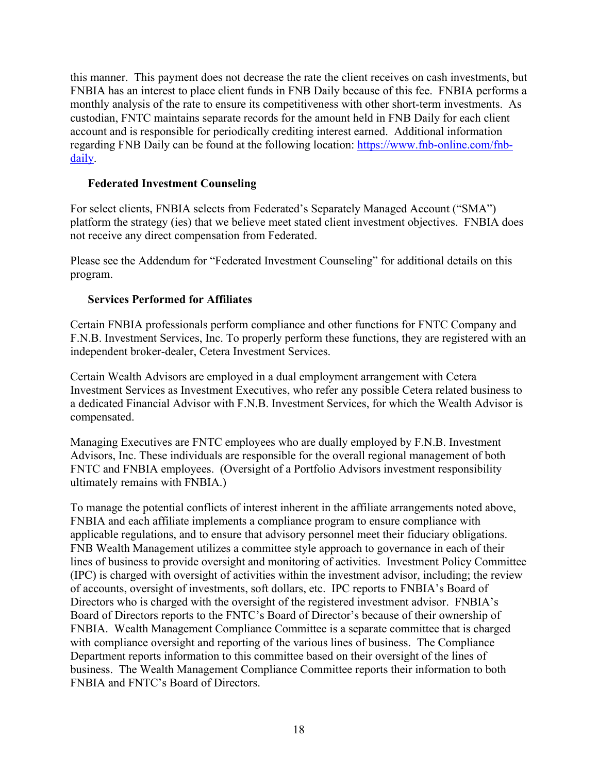this manner. This payment does not decrease the rate the client receives on cash investments, but FNBIA has an interest to place client funds in FNB Daily because of this fee. FNBIA performs a monthly analysis of the rate to ensure its competitiveness with other short-term investments. As custodian, FNTC maintains separate records for the amount held in FNB Daily for each client account and is responsible for periodically crediting interest earned. Additional information regarding FNB Daily can be found at the following location: [https://www.fnb-online.com/fnb](https://www.fnb-online.com/fnb-daily)[daily.](https://www.fnb-online.com/fnb-daily)

#### **Federated Investment Counseling**

For select clients, FNBIA selects from Federated's Separately Managed Account ("SMA") platform the strategy (ies) that we believe meet stated client investment objectives. FNBIA does not receive any direct compensation from Federated.

Please see the Addendum for "Federated Investment Counseling" for additional details on this program.

#### **Services Performed for Affiliates**

Certain FNBIA professionals perform compliance and other functions for FNTC Company and F.N.B. Investment Services, Inc. To properly perform these functions, they are registered with an independent broker-dealer, Cetera Investment Services.

Certain Wealth Advisors are employed in a dual employment arrangement with Cetera Investment Services as Investment Executives, who refer any possible Cetera related business to a dedicated Financial Advisor with F.N.B. Investment Services, for which the Wealth Advisor is compensated.

Managing Executives are FNTC employees who are dually employed by F.N.B. Investment Advisors, Inc. These individuals are responsible for the overall regional management of both FNTC and FNBIA employees. (Oversight of a Portfolio Advisors investment responsibility ultimately remains with FNBIA.)

To manage the potential conflicts of interest inherent in the affiliate arrangements noted above, FNBIA and each affiliate implements a compliance program to ensure compliance with applicable regulations, and to ensure that advisory personnel meet their fiduciary obligations. FNB Wealth Management utilizes a committee style approach to governance in each of their lines of business to provide oversight and monitoring of activities. Investment Policy Committee (IPC) is charged with oversight of activities within the investment advisor, including; the review of accounts, oversight of investments, soft dollars, etc. IPC reports to FNBIA's Board of Directors who is charged with the oversight of the registered investment advisor. FNBIA's Board of Directors reports to the FNTC's Board of Director's because of their ownership of FNBIA. Wealth Management Compliance Committee is a separate committee that is charged with compliance oversight and reporting of the various lines of business. The Compliance Department reports information to this committee based on their oversight of the lines of business. The Wealth Management Compliance Committee reports their information to both FNBIA and FNTC's Board of Directors.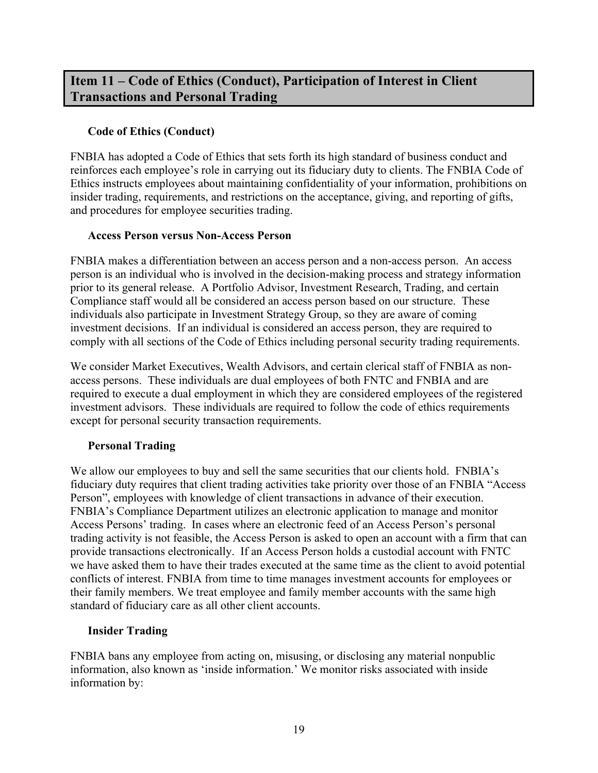# <span id="page-19-0"></span>**Item 11 – Code of Ethics (Conduct), Participation of Interest in Client Transactions and Personal Trading**

#### **Code of Ethics (Conduct)**

FNBIA has adopted a Code of Ethics that sets forth its high standard of business conduct and reinforces each employee's role in carrying out its fiduciary duty to clients. The FNBIA Code of Ethics instructs employees about maintaining confidentiality of your information, prohibitions on insider trading, requirements, and restrictions on the acceptance, giving, and reporting of gifts, and procedures for employee securities trading.

#### **Access Person versus Non-Access Person**

FNBIA makes a differentiation between an access person and a non-access person. An access person is an individual who is involved in the decision-making process and strategy information prior to its general release. A Portfolio Advisor, Investment Research, Trading, and certain Compliance staff would all be considered an access person based on our structure. These individuals also participate in Investment Strategy Group, so they are aware of coming investment decisions. If an individual is considered an access person, they are required to comply with all sections of the Code of Ethics including personal security trading requirements.

We consider Market Executives, Wealth Advisors, and certain clerical staff of FNBIA as nonaccess persons. These individuals are dual employees of both FNTC and FNBIA and are required to execute a dual employment in which they are considered employees of the registered investment advisors. These individuals are required to follow the code of ethics requirements except for personal security transaction requirements.

#### **Personal Trading**

We allow our employees to buy and sell the same securities that our clients hold. FNBIA's fiduciary duty requires that client trading activities take priority over those of an FNBIA "Access Person", employees with knowledge of client transactions in advance of their execution. FNBIA's Compliance Department utilizes an electronic application to manage and monitor Access Persons' trading. In cases where an electronic feed of an Access Person's personal trading activity is not feasible, the Access Person is asked to open an account with a firm that can provide transactions electronically. If an Access Person holds a custodial account with FNTC we have asked them to have their trades executed at the same time as the client to avoid potential conflicts of interest. FNBIA from time to time manages investment accounts for employees or their family members. We treat employee and family member accounts with the same high standard of fiduciary care as all other client accounts.

#### **Insider Trading**

FNBIA bans any employee from acting on, misusing, or disclosing any material nonpublic information, also known as 'inside information.' We monitor risks associated with inside information by: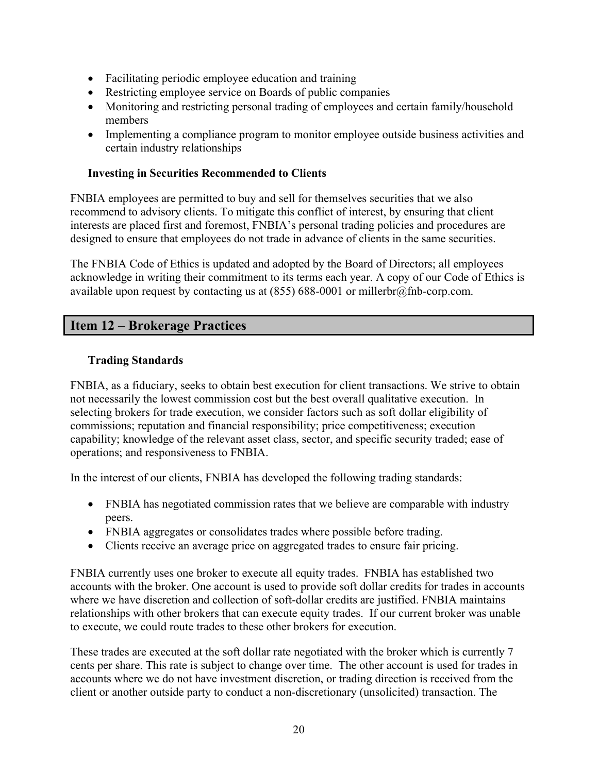- Facilitating periodic employee education and training
- Restricting employee service on Boards of public companies
- Monitoring and restricting personal trading of employees and certain family/household members
- Implementing a compliance program to monitor employee outside business activities and certain industry relationships

#### **Investing in Securities Recommended to Clients**

FNBIA employees are permitted to buy and sell for themselves securities that we also recommend to advisory clients. To mitigate this conflict of interest, by ensuring that client interests are placed first and foremost, FNBIA's personal trading policies and procedures are designed to ensure that employees do not trade in advance of clients in the same securities.

The FNBIA Code of Ethics is updated and adopted by the Board of Directors; all employees acknowledge in writing their commitment to its terms each year. A copy of our Code of Ethics is available upon request by contacting us at  $(855)$  688-0001 or millerbr@fnb-corp.com.

# <span id="page-20-0"></span>**Item 12 – Brokerage Practices**

# **Trading Standards**

FNBIA, as a fiduciary, seeks to obtain best execution for client transactions. We strive to obtain not necessarily the lowest commission cost but the best overall qualitative execution. In selecting brokers for trade execution, we consider factors such as soft dollar eligibility of commissions; reputation and financial responsibility; price competitiveness; execution capability; knowledge of the relevant asset class, sector, and specific security traded; ease of operations; and responsiveness to FNBIA.

In the interest of our clients, FNBIA has developed the following trading standards:

- FNBIA has negotiated commission rates that we believe are comparable with industry peers.
- FNBIA aggregates or consolidates trades where possible before trading.
- Clients receive an average price on aggregated trades to ensure fair pricing.

FNBIA currently uses one broker to execute all equity trades. FNBIA has established two accounts with the broker. One account is used to provide soft dollar credits for trades in accounts where we have discretion and collection of soft-dollar credits are justified. FNBIA maintains relationships with other brokers that can execute equity trades. If our current broker was unable to execute, we could route trades to these other brokers for execution.

These trades are executed at the soft dollar rate negotiated with the broker which is currently 7 cents per share. This rate is subject to change over time. The other account is used for trades in accounts where we do not have investment discretion, or trading direction is received from the client or another outside party to conduct a non-discretionary (unsolicited) transaction. The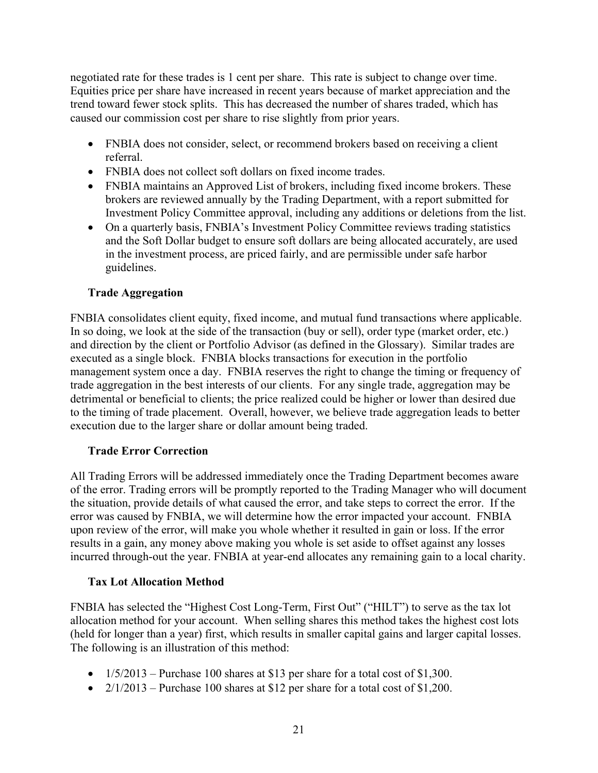negotiated rate for these trades is 1 cent per share. This rate is subject to change over time. Equities price per share have increased in recent years because of market appreciation and the trend toward fewer stock splits. This has decreased the number of shares traded, which has caused our commission cost per share to rise slightly from prior years.

- FNBIA does not consider, select, or recommend brokers based on receiving a client referral.
- FNBIA does not collect soft dollars on fixed income trades.
- FNBIA maintains an Approved List of brokers, including fixed income brokers. These brokers are reviewed annually by the Trading Department, with a report submitted for Investment Policy Committee approval, including any additions or deletions from the list.
- On a quarterly basis, FNBIA's Investment Policy Committee reviews trading statistics and the Soft Dollar budget to ensure soft dollars are being allocated accurately, are used in the investment process, are priced fairly, and are permissible under safe harbor guidelines.

#### **Trade Aggregation**

FNBIA consolidates client equity, fixed income, and mutual fund transactions where applicable. In so doing, we look at the side of the transaction (buy or sell), order type (market order, etc.) and direction by the client or Portfolio Advisor (as defined in the Glossary). Similar trades are executed as a single block. FNBIA blocks transactions for execution in the portfolio management system once a day. FNBIA reserves the right to change the timing or frequency of trade aggregation in the best interests of our clients. For any single trade, aggregation may be detrimental or beneficial to clients; the price realized could be higher or lower than desired due to the timing of trade placement. Overall, however, we believe trade aggregation leads to better execution due to the larger share or dollar amount being traded.

#### **Trade Error Correction**

All Trading Errors will be addressed immediately once the Trading Department becomes aware of the error. Trading errors will be promptly reported to the Trading Manager who will document the situation, provide details of what caused the error, and take steps to correct the error. If the error was caused by FNBIA, we will determine how the error impacted your account. FNBIA upon review of the error, will make you whole whether it resulted in gain or loss. If the error results in a gain, any money above making you whole is set aside to offset against any losses incurred through-out the year. FNBIA at year-end allocates any remaining gain to a local charity.

#### **Tax Lot Allocation Method**

FNBIA has selected the "Highest Cost Long-Term, First Out" ("HILT") to serve as the tax lot allocation method for your account. When selling shares this method takes the highest cost lots (held for longer than a year) first, which results in smaller capital gains and larger capital losses. The following is an illustration of this method:

- $1/5/2013$  Purchase 100 shares at \$13 per share for a total cost of \$1,300.
- $2/1/2013$  Purchase 100 shares at \$12 per share for a total cost of \$1,200.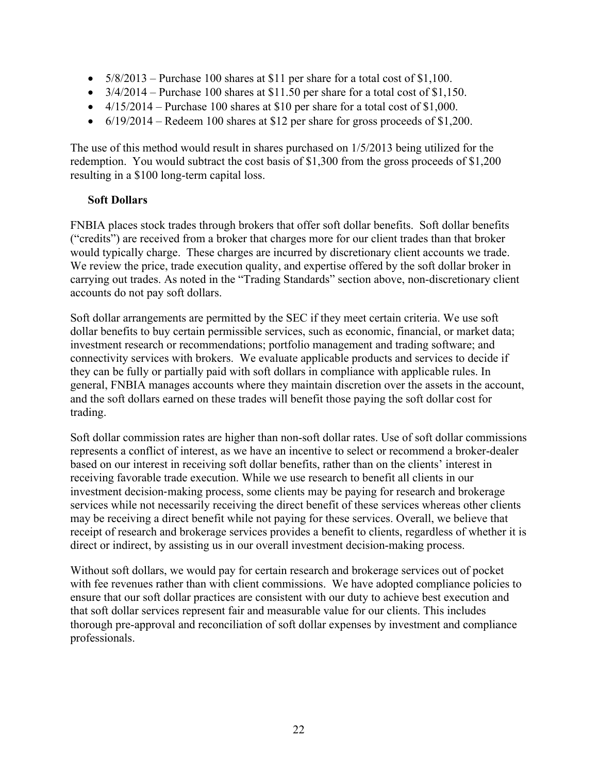- $5/8/2013$  Purchase 100 shares at \$11 per share for a total cost of \$1,100.
- $3/4/2014$  Purchase 100 shares at \$11.50 per share for a total cost of \$1,150.
- $4/15/2014$  Purchase 100 shares at \$10 per share for a total cost of \$1,000.
- $6/19/2014$  Redeem 100 shares at \$12 per share for gross proceeds of \$1,200.

The use of this method would result in shares purchased on 1/5/2013 being utilized for the redemption. You would subtract the cost basis of \$1,300 from the gross proceeds of \$1,200 resulting in a \$100 long-term capital loss.

#### **Soft Dollars**

FNBIA places stock trades through brokers that offer soft dollar benefits. Soft dollar benefits ("credits") are received from a broker that charges more for our client trades than that broker would typically charge. These charges are incurred by discretionary client accounts we trade. We review the price, trade execution quality, and expertise offered by the soft dollar broker in carrying out trades. As noted in the "Trading Standards" section above, non-discretionary client accounts do not pay soft dollars.

Soft dollar arrangements are permitted by the SEC if they meet certain criteria. We use soft dollar benefits to buy certain permissible services, such as economic, financial, or market data; investment research or recommendations; portfolio management and trading software; and connectivity services with brokers. We evaluate applicable products and services to decide if they can be fully or partially paid with soft dollars in compliance with applicable rules. In general, FNBIA manages accounts where they maintain discretion over the assets in the account, and the soft dollars earned on these trades will benefit those paying the soft dollar cost for trading.

Soft dollar commission rates are higher than non-soft dollar rates. Use of soft dollar commissions represents a conflict of interest, as we have an incentive to select or recommend a broker-dealer based on our interest in receiving soft dollar benefits, rather than on the clients' interest in receiving favorable trade execution. While we use research to benefit all clients in our investment decision‐making process, some clients may be paying for research and brokerage services while not necessarily receiving the direct benefit of these services whereas other clients may be receiving a direct benefit while not paying for these services. Overall, we believe that receipt of research and brokerage services provides a benefit to clients, regardless of whether it is direct or indirect, by assisting us in our overall investment decision-making process.

Without soft dollars, we would pay for certain research and brokerage services out of pocket with fee revenues rather than with client commissions. We have adopted compliance policies to ensure that our soft dollar practices are consistent with our duty to achieve best execution and that soft dollar services represent fair and measurable value for our clients. This includes thorough pre-approval and reconciliation of soft dollar expenses by investment and compliance professionals.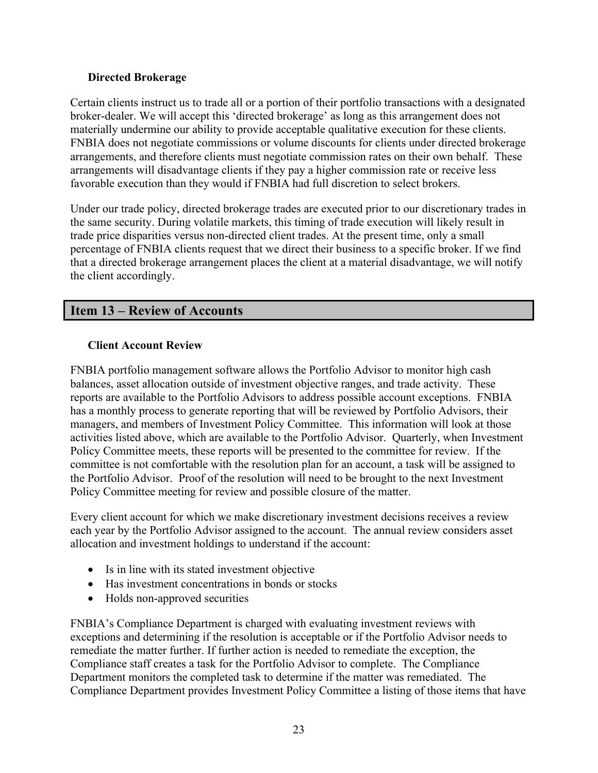#### **Directed Brokerage**

Certain clients instruct us to trade all or a portion of their portfolio transactions with a designated broker-dealer. We will accept this 'directed brokerage' as long as this arrangement does not materially undermine our ability to provide acceptable qualitative execution for these clients. FNBIA does not negotiate commissions or volume discounts for clients under directed brokerage arrangements, and therefore clients must negotiate commission rates on their own behalf. These arrangements will disadvantage clients if they pay a higher commission rate or receive less favorable execution than they would if FNBIA had full discretion to select brokers.

Under our trade policy, directed brokerage trades are executed prior to our discretionary trades in the same security. During volatile markets, this timing of trade execution will likely result in trade price disparities versus non-directed client trades. At the present time, only a small percentage of FNBIA clients request that we direct their business to a specific broker. If we find that a directed brokerage arrangement places the client at a material disadvantage, we will notify the client accordingly.

# <span id="page-23-0"></span>**Item 13 – Review of Accounts**

#### **Client Account Review**

FNBIA portfolio management software allows the Portfolio Advisor to monitor high cash balances, asset allocation outside of investment objective ranges, and trade activity. These reports are available to the Portfolio Advisors to address possible account exceptions. FNBIA has a monthly process to generate reporting that will be reviewed by Portfolio Advisors, their managers, and members of Investment Policy Committee. This information will look at those activities listed above, which are available to the Portfolio Advisor. Quarterly, when Investment Policy Committee meets, these reports will be presented to the committee for review. If the committee is not comfortable with the resolution plan for an account, a task will be assigned to the Portfolio Advisor. Proof of the resolution will need to be brought to the next Investment Policy Committee meeting for review and possible closure of the matter.

Every client account for which we make discretionary investment decisions receives a review each year by the Portfolio Advisor assigned to the account. The annual review considers asset allocation and investment holdings to understand if the account:

- Is in line with its stated investment objective
- Has investment concentrations in bonds or stocks
- Holds non-approved securities

FNBIA's Compliance Department is charged with evaluating investment reviews with exceptions and determining if the resolution is acceptable or if the Portfolio Advisor needs to remediate the matter further. If further action is needed to remediate the exception, the Compliance staff creates a task for the Portfolio Advisor to complete. The Compliance Department monitors the completed task to determine if the matter was remediated. The Compliance Department provides Investment Policy Committee a listing of those items that have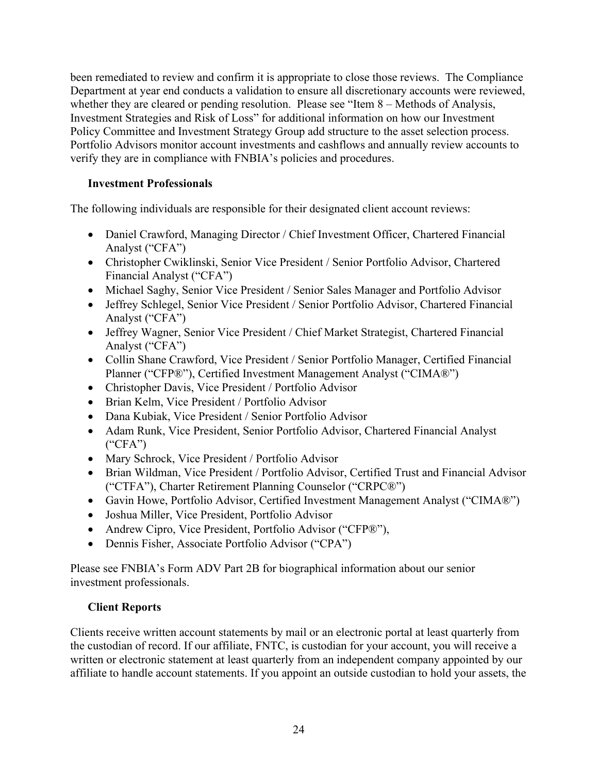been remediated to review and confirm it is appropriate to close those reviews. The Compliance Department at year end conducts a validation to ensure all discretionary accounts were reviewed, whether they are cleared or pending resolution. Please see "Item 8 – Methods of Analysis, Investment Strategies and Risk of Loss" for additional information on how our Investment Policy Committee and Investment Strategy Group add structure to the asset selection process. Portfolio Advisors monitor account investments and cashflows and annually review accounts to verify they are in compliance with FNBIA's policies and procedures.

#### **Investment Professionals**

The following individuals are responsible for their designated client account reviews:

- Daniel Crawford, Managing Director / Chief Investment Officer, Chartered Financial Analyst ("CFA")
- Christopher Cwiklinski, Senior Vice President / Senior Portfolio Advisor, Chartered Financial Analyst ("CFA")
- Michael Saghy, Senior Vice President / Senior Sales Manager and Portfolio Advisor
- Jeffrey Schlegel, Senior Vice President / Senior Portfolio Advisor, Chartered Financial Analyst ("CFA")
- Jeffrey Wagner, Senior Vice President / Chief Market Strategist, Chartered Financial Analyst ("CFA")
- Collin Shane Crawford, Vice President / Senior Portfolio Manager, Certified Financial Planner ("CFP®"), Certified Investment Management Analyst ("CIMA®")
- Christopher Davis, Vice President / Portfolio Advisor
- Brian Kelm, Vice President / Portfolio Advisor
- Dana Kubiak, Vice President / Senior Portfolio Advisor
- Adam Runk, Vice President, Senior Portfolio Advisor, Chartered Financial Analyst  $(^{\circ}CFA^{\prime\prime})$
- Mary Schrock, Vice President / Portfolio Advisor
- Brian Wildman, Vice President / Portfolio Advisor, Certified Trust and Financial Advisor ("CTFA"), Charter Retirement Planning Counselor ("CRPC®")
- Gavin Howe, Portfolio Advisor, Certified Investment Management Analyst ("CIMA®")
- Joshua Miller, Vice President, Portfolio Advisor
- Andrew Cipro, Vice President, Portfolio Advisor ("CFP®"),
- Dennis Fisher, Associate Portfolio Advisor ("CPA")

Please see FNBIA's Form ADV Part 2B for biographical information about our senior investment professionals.

# **Client Reports**

Clients receive written account statements by mail or an electronic portal at least quarterly from the custodian of record. If our affiliate, FNTC, is custodian for your account, you will receive a written or electronic statement at least quarterly from an independent company appointed by our affiliate to handle account statements. If you appoint an outside custodian to hold your assets, the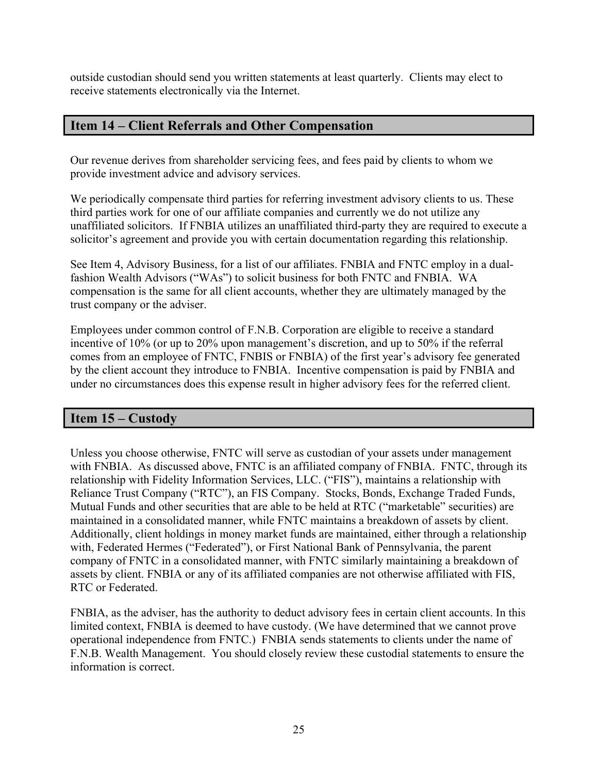outside custodian should send you written statements at least quarterly. Clients may elect to receive statements electronically via the Internet.

# <span id="page-25-0"></span>**Item 14 – Client Referrals and Other Compensation**

Our revenue derives from shareholder servicing fees, and fees paid by clients to whom we provide investment advice and advisory services.

We periodically compensate third parties for referring investment advisory clients to us. These third parties work for one of our affiliate companies and currently we do not utilize any unaffiliated solicitors. If FNBIA utilizes an unaffiliated third-party they are required to execute a solicitor's agreement and provide you with certain documentation regarding this relationship.

See Item 4, Advisory Business, for a list of our affiliates. FNBIA and FNTC employ in a dualfashion Wealth Advisors ("WAs") to solicit business for both FNTC and FNBIA. WA compensation is the same for all client accounts, whether they are ultimately managed by the trust company or the adviser.

Employees under common control of F.N.B. Corporation are eligible to receive a standard incentive of 10% (or up to 20% upon management's discretion, and up to 50% if the referral comes from an employee of FNTC, FNBIS or FNBIA) of the first year's advisory fee generated by the client account they introduce to FNBIA. Incentive compensation is paid by FNBIA and under no circumstances does this expense result in higher advisory fees for the referred client.

# <span id="page-25-1"></span>**Item 15 – Custody**

Unless you choose otherwise, FNTC will serve as custodian of your assets under management with FNBIA. As discussed above, FNTC is an affiliated company of FNBIA. FNTC, through its relationship with Fidelity Information Services, LLC. ("FIS"), maintains a relationship with Reliance Trust Company ("RTC"), an FIS Company. Stocks, Bonds, Exchange Traded Funds, Mutual Funds and other securities that are able to be held at RTC ("marketable" securities) are maintained in a consolidated manner, while FNTC maintains a breakdown of assets by client. Additionally, client holdings in money market funds are maintained, either through a relationship with, Federated Hermes ("Federated"), or First National Bank of Pennsylvania, the parent company of FNTC in a consolidated manner, with FNTC similarly maintaining a breakdown of assets by client. FNBIA or any of its affiliated companies are not otherwise affiliated with FIS, RTC or Federated.

FNBIA, as the adviser, has the authority to deduct advisory fees in certain client accounts. In this limited context, FNBIA is deemed to have custody. (We have determined that we cannot prove operational independence from FNTC.) FNBIA sends statements to clients under the name of F.N.B. Wealth Management. You should closely review these custodial statements to ensure the information is correct.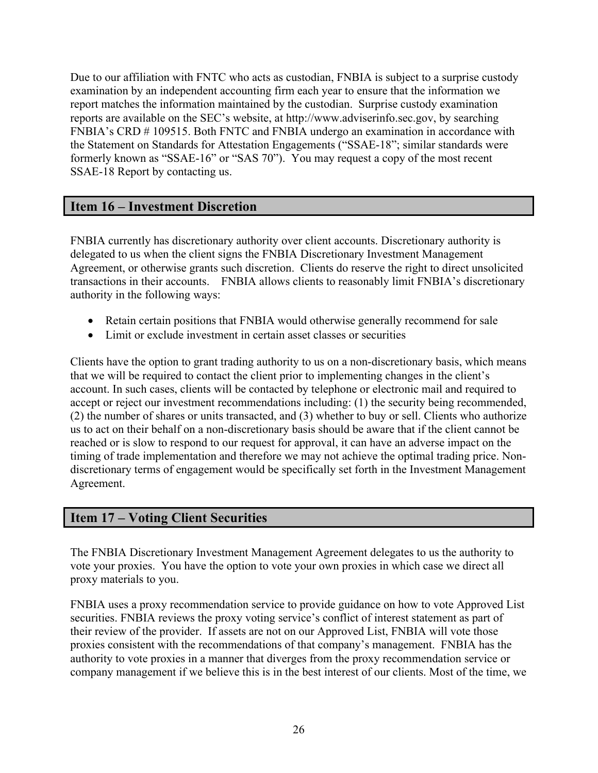Due to our affiliation with FNTC who acts as custodian, FNBIA is subject to a surprise custody examination by an independent accounting firm each year to ensure that the information we report matches the information maintained by the custodian. Surprise custody examination reports are available on the SEC's website, at http://www.adviserinfo.sec.gov, by searching FNBIA's CRD # 109515. Both FNTC and FNBIA undergo an examination in accordance with the Statement on Standards for Attestation Engagements ("SSAE-18"; similar standards were formerly known as "SSAE-16" or "SAS 70"). You may request a copy of the most recent SSAE-18 Report by contacting us.

# <span id="page-26-0"></span>**Item 16 – Investment Discretion**

FNBIA currently has discretionary authority over client accounts. Discretionary authority is delegated to us when the client signs the FNBIA Discretionary Investment Management Agreement, or otherwise grants such discretion. Clients do reserve the right to direct unsolicited transactions in their accounts. FNBIA allows clients to reasonably limit FNBIA's discretionary authority in the following ways:

- Retain certain positions that FNBIA would otherwise generally recommend for sale
- Limit or exclude investment in certain asset classes or securities

Clients have the option to grant trading authority to us on a non-discretionary basis, which means that we will be required to contact the client prior to implementing changes in the client's account. In such cases, clients will be contacted by telephone or electronic mail and required to accept or reject our investment recommendations including: (1) the security being recommended, (2) the number of shares or units transacted, and (3) whether to buy or sell. Clients who authorize us to act on their behalf on a non-discretionary basis should be aware that if the client cannot be reached or is slow to respond to our request for approval, it can have an adverse impact on the timing of trade implementation and therefore we may not achieve the optimal trading price. Nondiscretionary terms of engagement would be specifically set forth in the Investment Management Agreement.

# <span id="page-26-1"></span>**Item 17 – Voting Client Securities**

The FNBIA Discretionary Investment Management Agreement delegates to us the authority to vote your proxies. You have the option to vote your own proxies in which case we direct all proxy materials to you.

FNBIA uses a proxy recommendation service to provide guidance on how to vote Approved List securities. FNBIA reviews the proxy voting service's conflict of interest statement as part of their review of the provider. If assets are not on our Approved List, FNBIA will vote those proxies consistent with the recommendations of that company's management. FNBIA has the authority to vote proxies in a manner that diverges from the proxy recommendation service or company management if we believe this is in the best interest of our clients. Most of the time, we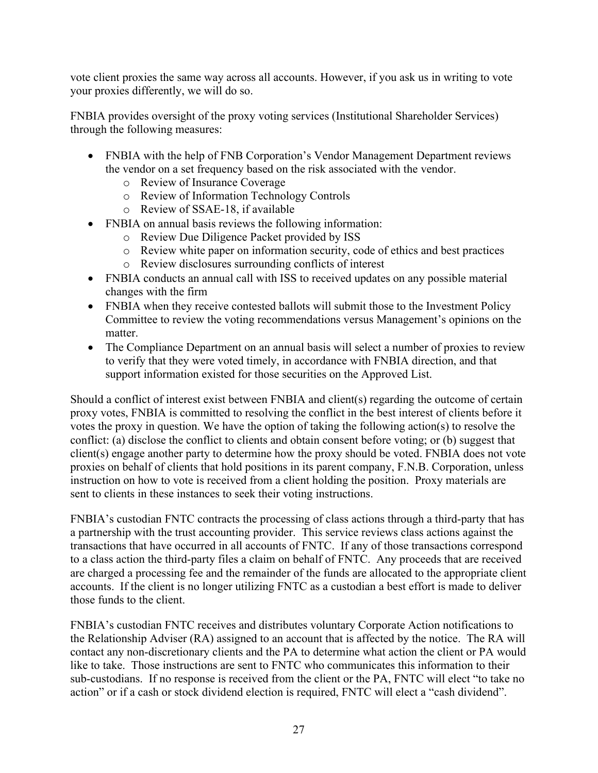vote client proxies the same way across all accounts. However, if you ask us in writing to vote your proxies differently, we will do so.

FNBIA provides oversight of the proxy voting services (Institutional Shareholder Services) through the following measures:

- FNBIA with the help of FNB Corporation's Vendor Management Department reviews the vendor on a set frequency based on the risk associated with the vendor.
	- o Review of Insurance Coverage
	- o Review of Information Technology Controls
	- o Review of SSAE-18, if available
- FNBIA on annual basis reviews the following information:
	- o Review Due Diligence Packet provided by ISS
	- o Review white paper on information security, code of ethics and best practices
	- o Review disclosures surrounding conflicts of interest
- FNBIA conducts an annual call with ISS to received updates on any possible material changes with the firm
- FNBIA when they receive contested ballots will submit those to the Investment Policy Committee to review the voting recommendations versus Management's opinions on the matter.
- The Compliance Department on an annual basis will select a number of proxies to review to verify that they were voted timely, in accordance with FNBIA direction, and that support information existed for those securities on the Approved List.

Should a conflict of interest exist between FNBIA and client(s) regarding the outcome of certain proxy votes, FNBIA is committed to resolving the conflict in the best interest of clients before it votes the proxy in question. We have the option of taking the following action(s) to resolve the conflict: (a) disclose the conflict to clients and obtain consent before voting; or (b) suggest that client(s) engage another party to determine how the proxy should be voted. FNBIA does not vote proxies on behalf of clients that hold positions in its parent company, F.N.B. Corporation, unless instruction on how to vote is received from a client holding the position. Proxy materials are sent to clients in these instances to seek their voting instructions.

FNBIA's custodian FNTC contracts the processing of class actions through a third-party that has a partnership with the trust accounting provider. This service reviews class actions against the transactions that have occurred in all accounts of FNTC. If any of those transactions correspond to a class action the third-party files a claim on behalf of FNTC. Any proceeds that are received are charged a processing fee and the remainder of the funds are allocated to the appropriate client accounts. If the client is no longer utilizing FNTC as a custodian a best effort is made to deliver those funds to the client.

FNBIA's custodian FNTC receives and distributes voluntary Corporate Action notifications to the Relationship Adviser (RA) assigned to an account that is affected by the notice. The RA will contact any non-discretionary clients and the PA to determine what action the client or PA would like to take. Those instructions are sent to FNTC who communicates this information to their sub-custodians. If no response is received from the client or the PA, FNTC will elect "to take no action" or if a cash or stock dividend election is required, FNTC will elect a "cash dividend".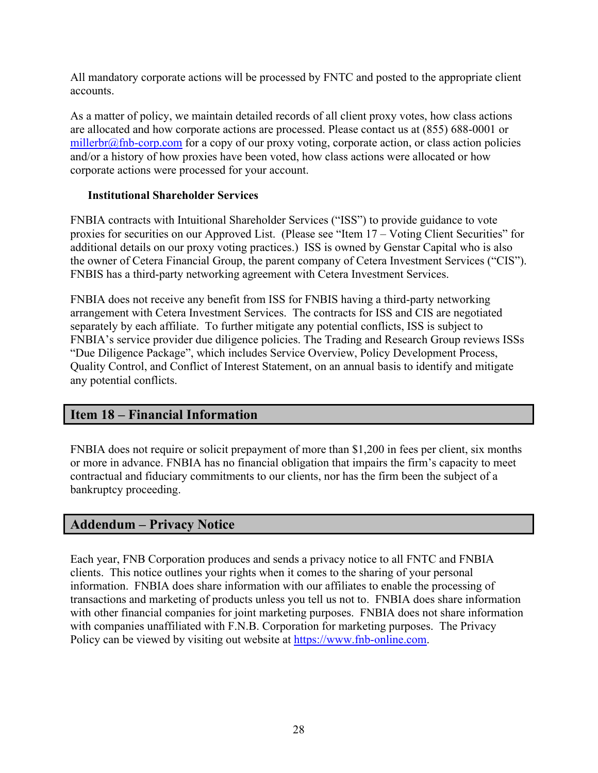All mandatory corporate actions will be processed by FNTC and posted to the appropriate client accounts.

As a matter of policy, we maintain detailed records of all client proxy votes, how class actions are allocated and how corporate actions are processed. Please contact us at (855) 688-0001 or [millerbr@fnb-corp.com](mailto:hieberj@fnb-corp.com) for a copy of our proxy voting, corporate action, or class action policies and/or a history of how proxies have been voted, how class actions were allocated or how corporate actions were processed for your account.

#### **Institutional Shareholder Services**

FNBIA contracts with Intuitional Shareholder Services ("ISS") to provide guidance to vote proxies for securities on our Approved List. (Please see "Item 17 – Voting Client Securities" for additional details on our proxy voting practices.) ISS is owned by Genstar Capital who is also the owner of Cetera Financial Group, the parent company of Cetera Investment Services ("CIS"). FNBIS has a third-party networking agreement with Cetera Investment Services.

FNBIA does not receive any benefit from ISS for FNBIS having a third-party networking arrangement with Cetera Investment Services. The contracts for ISS and CIS are negotiated separately by each affiliate. To further mitigate any potential conflicts, ISS is subject to FNBIA's service provider due diligence policies. The Trading and Research Group reviews ISSs "Due Diligence Package", which includes Service Overview, Policy Development Process, Quality Control, and Conflict of Interest Statement, on an annual basis to identify and mitigate any potential conflicts.

# <span id="page-28-0"></span>**Item 18 – Financial Information**

FNBIA does not require or solicit prepayment of more than \$1,200 in fees per client, six months or more in advance. FNBIA has no financial obligation that impairs the firm's capacity to meet contractual and fiduciary commitments to our clients, nor has the firm been the subject of a bankruptcy proceeding.

# <span id="page-28-1"></span>**Addendum – Privacy Notice**

Each year, FNB Corporation produces and sends a privacy notice to all FNTC and FNBIA clients. This notice outlines your rights when it comes to the sharing of your personal information. FNBIA does share information with our affiliates to enable the processing of transactions and marketing of products unless you tell us not to. FNBIA does share information with other financial companies for joint marketing purposes. FNBIA does not share information with companies unaffiliated with F.N.B. Corporation for marketing purposes. The Privacy Policy can be viewed by visiting out website at [https://www.fnb-online.com.](https://www.fnb-online.com/)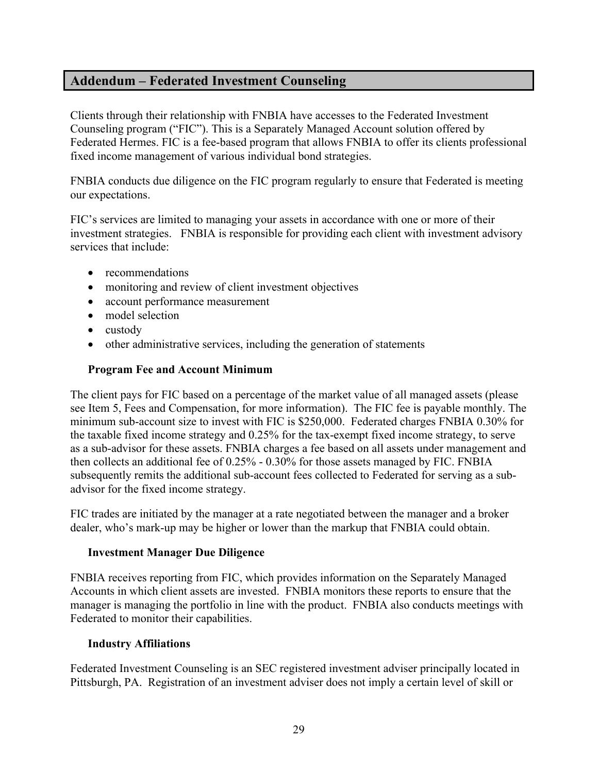# <span id="page-29-0"></span>**Addendum – Federated Investment Counseling**

Clients through their relationship with FNBIA have accesses to the Federated Investment Counseling program ("FIC"). This is a Separately Managed Account solution offered by Federated Hermes. FIC is a fee-based program that allows FNBIA to offer its clients professional fixed income management of various individual bond strategies.

FNBIA conducts due diligence on the FIC program regularly to ensure that Federated is meeting our expectations.

FIC's services are limited to managing your assets in accordance with one or more of their investment strategies. FNBIA is responsible for providing each client with investment advisory services that include:

- recommendations
- monitoring and review of client investment objectives
- account performance measurement
- model selection
- custody
- other administrative services, including the generation of statements

#### **Program Fee and Account Minimum**

The client pays for FIC based on a percentage of the market value of all managed assets (please see Item 5, Fees and Compensation, for more information). The FIC fee is payable monthly. The minimum sub-account size to invest with FIC is \$250,000. Federated charges FNBIA 0.30% for the taxable fixed income strategy and 0.25% for the tax-exempt fixed income strategy, to serve as a sub-advisor for these assets. FNBIA charges a fee based on all assets under management and then collects an additional fee of 0.25% - 0.30% for those assets managed by FIC. FNBIA subsequently remits the additional sub-account fees collected to Federated for serving as a subadvisor for the fixed income strategy.

FIC trades are initiated by the manager at a rate negotiated between the manager and a broker dealer, who's mark-up may be higher or lower than the markup that FNBIA could obtain.

#### **Investment Manager Due Diligence**

FNBIA receives reporting from FIC, which provides information on the Separately Managed Accounts in which client assets are invested. FNBIA monitors these reports to ensure that the manager is managing the portfolio in line with the product. FNBIA also conducts meetings with Federated to monitor their capabilities.

#### **Industry Affiliations**

Federated Investment Counseling is an SEC registered investment adviser principally located in Pittsburgh, PA. Registration of an investment adviser does not imply a certain level of skill or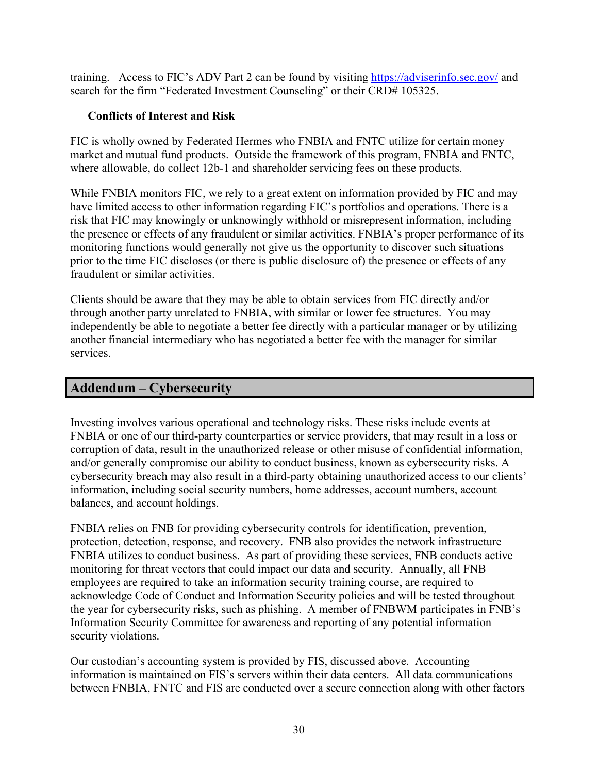training. Access to FIC's ADV Part 2 can be found by visiting<https://adviserinfo.sec.gov/> and search for the firm "Federated Investment Counseling" or their CRD# 105325.

#### **Conflicts of Interest and Risk**

FIC is wholly owned by Federated Hermes who FNBIA and FNTC utilize for certain money market and mutual fund products. Outside the framework of this program, FNBIA and FNTC, where allowable, do collect 12b-1 and shareholder servicing fees on these products.

While FNBIA monitors FIC, we rely to a great extent on information provided by FIC and may have limited access to other information regarding FIC's portfolios and operations. There is a risk that FIC may knowingly or unknowingly withhold or misrepresent information, including the presence or effects of any fraudulent or similar activities. FNBIA's proper performance of its monitoring functions would generally not give us the opportunity to discover such situations prior to the time FIC discloses (or there is public disclosure of) the presence or effects of any fraudulent or similar activities.

Clients should be aware that they may be able to obtain services from FIC directly and/or through another party unrelated to FNBIA, with similar or lower fee structures. You may independently be able to negotiate a better fee directly with a particular manager or by utilizing another financial intermediary who has negotiated a better fee with the manager for similar services.

# <span id="page-30-0"></span>**Addendum – Cybersecurity**

Investing involves various operational and technology risks. These risks include events at FNBIA or one of our third-party counterparties or service providers, that may result in a loss or corruption of data, result in the unauthorized release or other misuse of confidential information, and/or generally compromise our ability to conduct business, known as cybersecurity risks. A cybersecurity breach may also result in a third-party obtaining unauthorized access to our clients' information, including social security numbers, home addresses, account numbers, account balances, and account holdings.

FNBIA relies on FNB for providing cybersecurity controls for identification, prevention, protection, detection, response, and recovery. FNB also provides the network infrastructure FNBIA utilizes to conduct business. As part of providing these services, FNB conducts active monitoring for threat vectors that could impact our data and security. Annually, all FNB employees are required to take an information security training course, are required to acknowledge Code of Conduct and Information Security policies and will be tested throughout the year for cybersecurity risks, such as phishing. A member of FNBWM participates in FNB's Information Security Committee for awareness and reporting of any potential information security violations.

Our custodian's accounting system is provided by FIS, discussed above. Accounting information is maintained on FIS's servers within their data centers. All data communications between FNBIA, FNTC and FIS are conducted over a secure connection along with other factors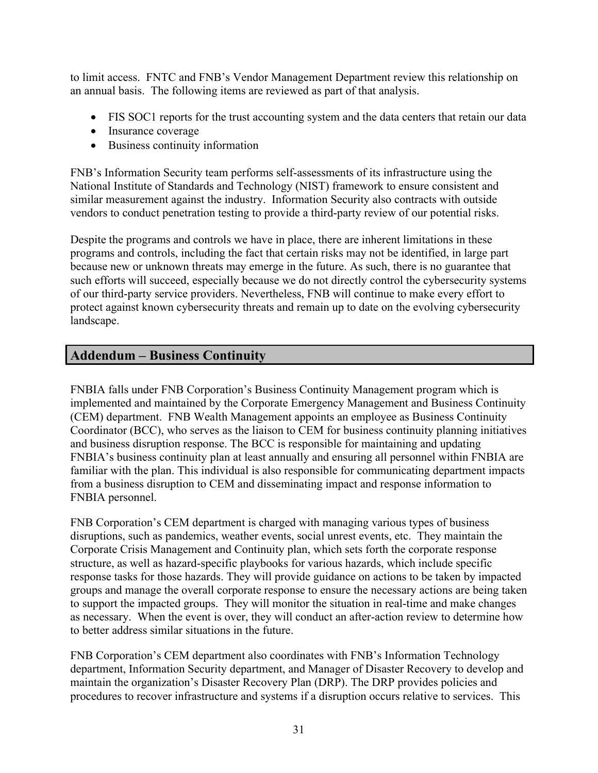to limit access. FNTC and FNB's Vendor Management Department review this relationship on an annual basis. The following items are reviewed as part of that analysis.

- FIS SOC1 reports for the trust accounting system and the data centers that retain our data
- Insurance coverage
- Business continuity information

FNB's Information Security team performs self-assessments of its infrastructure using the National Institute of Standards and Technology (NIST) framework to ensure consistent and similar measurement against the industry. Information Security also contracts with outside vendors to conduct penetration testing to provide a third-party review of our potential risks.

Despite the programs and controls we have in place, there are inherent limitations in these programs and controls, including the fact that certain risks may not be identified, in large part because new or unknown threats may emerge in the future. As such, there is no guarantee that such efforts will succeed, especially because we do not directly control the cybersecurity systems of our third-party service providers. Nevertheless, FNB will continue to make every effort to protect against known cybersecurity threats and remain up to date on the evolving cybersecurity landscape.

# <span id="page-31-0"></span>**Addendum – Business Continuity**

FNBIA falls under FNB Corporation's Business Continuity Management program which is implemented and maintained by the Corporate Emergency Management and Business Continuity (CEM) department. FNB Wealth Management appoints an employee as Business Continuity Coordinator (BCC), who serves as the liaison to CEM for business continuity planning initiatives and business disruption response. The BCC is responsible for maintaining and updating FNBIA's business continuity plan at least annually and ensuring all personnel within FNBIA are familiar with the plan. This individual is also responsible for communicating department impacts from a business disruption to CEM and disseminating impact and response information to FNBIA personnel.

FNB Corporation's CEM department is charged with managing various types of business disruptions, such as pandemics, weather events, social unrest events, etc. They maintain the Corporate Crisis Management and Continuity plan, which sets forth the corporate response structure, as well as hazard-specific playbooks for various hazards, which include specific response tasks for those hazards. They will provide guidance on actions to be taken by impacted groups and manage the overall corporate response to ensure the necessary actions are being taken to support the impacted groups. They will monitor the situation in real-time and make changes as necessary. When the event is over, they will conduct an after-action review to determine how to better address similar situations in the future.

FNB Corporation's CEM department also coordinates with FNB's Information Technology department, Information Security department, and Manager of Disaster Recovery to develop and maintain the organization's Disaster Recovery Plan (DRP). The DRP provides policies and procedures to recover infrastructure and systems if a disruption occurs relative to services. This